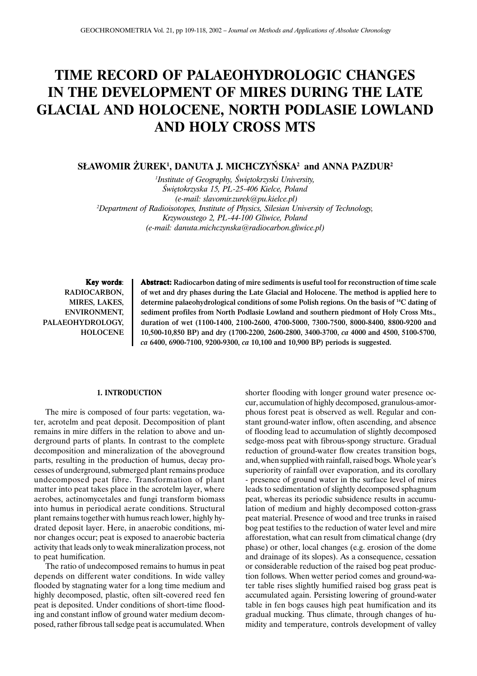# **TIME RECORD OF PALAEOHYDROLOGIC CHANGES IN THE DEVELOPMENT OF MIRES DURING THE LATE GLACIAL AND HOLOCENE, NORTH PODLASIE LOWLAND AND HOLY CROSS MTS**

# **S£AWOMIR ¯UREK1 , DANUTA J. MICHCZYÑSKA2 and ANNA PAZDUR2**

*1 Institute of Geography, Œwiêtokrzyski University, Œwiêtokrzyska 15, PL-25-406 Kielce, Poland (e-mail: slavomir.zurek@pu.kielce.pl) 2 Department of Radioisotopes, Institute of Physics, Silesian University of Technology, Krzywoustego 2, PL-44-100 Gliwice, Poland (e-mail: danuta.michczynska@radiocarbon.gliwice.pl)*

Key words: RADIOCARBON, MIRES, LAKES, ENVIRONMENT, PALAEOHYDROLOGY, HOLOCENE Abstract: Radiocarbon dating of mire sediments is useful tool for reconstruction of time scale of wet and dry phases during the Late Glacial and Holocene. The method is applied here to determine palaeohydrological conditions of some Polish regions. On the basis of 14C dating of sediment profiles from North Podlasie Lowland and southern piedmont of Holy Cross Mts., duration of wet (1100-1400, 2100-2600, 4700-5000, 7300-7500, 8000-8400, 8800-9200 and 10,500-10,850 BP) and dry (1700-2200, 2600-2800, 3400-3700, *ca* 4000 and 4500, 5100-5700, *ca* 6400, 6900-7100, 9200-9300, *ca* 10,100 and 10,900 BP) periods is suggested.

## **1. INTRODUCTION**

The mire is composed of four parts: vegetation, water, acrotelm and peat deposit. Decomposition of plant remains in mire differs in the relation to above and underground parts of plants. In contrast to the complete decomposition and mineralization of the aboveground parts, resulting in the production of humus, decay processes of underground, submerged plant remains produce undecomposed peat fibre. Transformation of plant matter into peat takes place in the acrotelm layer, where aerobes, actinomycetales and fungi transform biomass into humus in periodical aerate conditions. Structural plant remains together with humus reach lower, highly hydrated deposit layer. Here, in anaerobic conditions, minor changes occur; peat is exposed to anaerobic bacteria activity that leads only to weak mineralization process, not to peat humification.

The ratio of undecomposed remains to humus in peat depends on different water conditions. In wide valley flooded by stagnating water for a long time medium and highly decomposed, plastic, often silt-covered reed fen peat is deposited. Under conditions of short-time flooding and constant inflow of ground water medium decomposed, rather fibrous tall sedge peat is accumulated. When

shorter flooding with longer ground water presence occur, accumulation of highly decomposed, granulous-amorphous forest peat is observed as well. Regular and constant ground-water inflow, often ascending, and absence of flooding lead to accumulation of slightly decomposed sedge-moss peat with fibrous-spongy structure. Gradual reduction of ground-water flow creates transition bogs, and, when supplied with rainfall, raised bogs. Whole year's superiority of rainfall over evaporation, and its corollary - presence of ground water in the surface level of mires leads to sedimentation of slightly decomposed sphagnum peat, whereas its periodic subsidence results in accumulation of medium and highly decomposed cotton-grass peat material. Presence of wood and tree trunks in raised bog peat testifies to the reduction of water level and mire afforestation, what can result from climatical change (dry phase) or other, local changes (e.g. erosion of the dome and drainage of its slopes). As a consequence, cessation or considerable reduction of the raised bog peat production follows. When wetter period comes and ground-water table rises slightly humified raised bog grass peat is accumulated again. Persisting lowering of ground-water table in fen bogs causes high peat humification and its gradual mucking. Thus climate, through changes of humidity and temperature, controls development of valley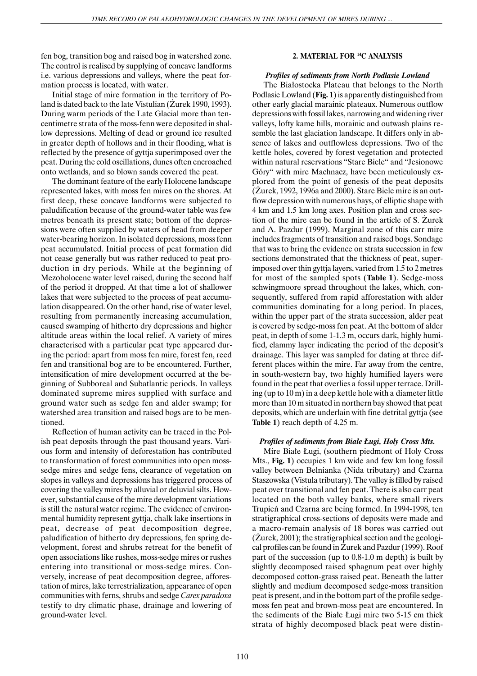fen bog, transition bog and raised bog in watershed zone. The control is realised by supplying of concave landforms i.e. various depressions and valleys, where the peat formation process is located, with water.

Initial stage of mire formation in the territory of Poland is dated back to the late Vistulian (Zurek 1990, 1993). During warm periods of the Late Glacial more than tencentimetre strata of the moss-fenn were deposited in shallow depressions. Melting of dead or ground ice resulted in greater depth of hollows and in their flooding, what is reflected by the presence of gyttja superimposed over the peat. During the cold oscillations, dunes often encroached onto wetlands, and so blown sands covered the peat.

The dominant feature of the early Holocene landscape represented lakes, with moss fen mires on the shores. At first deep, these concave landforms were subjected to paludification because of the ground-water table was few metres beneath its present state; bottom of the depressions were often supplied by waters of head from deeper water-bearing horizon. In isolated depressions, moss fenn peat accumulated. Initial process of peat formation did not cease generally but was rather reduced to peat production in dry periods. While at the beginning of Mezoholocene water level raised, during the second half of the period it dropped. At that time a lot of shallower lakes that were subjected to the process of peat accumulation disappeared. On the other hand, rise of water level, resulting from permanently increasing accumulation, caused swamping of hitherto dry depressions and higher altitude areas within the local relief. A variety of mires characterised with a particular peat type appeared during the period: apart from moss fen mire, forest fen, reed fen and transitional bog are to be encountered. Further, intensification of mire development occurred at the beginning of Subboreal and Subatlantic periods. In valleys dominated supreme mires supplied with surface and ground water such as sedge fen and alder swamp; for watershed area transition and raised bogs are to be mentioned.

Reflection of human activity can be traced in the Polish peat deposits through the past thousand years. Various form and intensity of deforestation has contributed to transformation of forest communities into open mosssedge mires and sedge fens, clearance of vegetation on slopes in valleys and depressions has triggered process of covering the valley mires by alluvial or deluvial silts. However, substantial cause of the mire development variations is still the natural water regime. The evidence of environmental humidity represent gyttja, chalk lake insertions in peat, decrease of peat decomposition degree, paludification of hitherto dry depressions, fen spring development, forest and shrubs retreat for the benefit of open associations like rushes, moss-sedge mires or rushes entering into transitional or moss-sedge mires. Conversely, increase of peat decomposition degree, afforestation of mires, lake terrestrialization, appearance of open communities with ferns, shrubs and sedge *Carex paradoxa* testify to dry climatic phase, drainage and lowering of ground-water level.

# **2. MATERIAL FOR 14C ANALYSIS**

# *Profiles of sediments from North Podlasie Lowland*

The Białostocka Plateau that belongs to the North Podlasie Lowland (**Fig. 1**) is apparently distinguished from other early glacial marainic plateaux. Numerous outflow depressions with fossil lakes, narrowing and widening river valleys, lofty kame hills, morainic and outwash plains resemble the last glaciation landscape. It differs only in absence of lakes and outflowless depressions. Two of the kettle holes, covered by forest vegetation and protected within natural reservations "Stare Biele" and "Jesionowe Góry" with mire Machnacz, have been meticulously explored from the point of genesis of the peat deposits  $(Zurek, 1992, 1996a$  and  $2000$ ). Stare Biele mire is an outflow depression with numerous bays, of elliptic shape with 4 km and 1.5 km long axes. Position plan and cross section of the mire can be found in the article of S. Zurek and A. Pazdur (1999). Marginal zone of this carr mire includes fragments of transition and raised bogs. Sondage that was to bring the evidence on strata succession in few sections demonstrated that the thickness of peat, superimposed over thin gyttja layers, varied from 1.5 to 2 metres for most of the sampled spots (**Table 1**). Sedge-moss schwingmoore spread throughout the lakes, which, consequently, suffered from rapid afforestation with alder communities dominating for a long period. In places, within the upper part of the strata succession, alder peat is covered by sedge-moss fen peat. At the bottom of alder peat, in depth of some 1-1.3 m, occurs dark, highly humified, clammy layer indicating the period of the deposit's drainage. This layer was sampled for dating at three different places within the mire. Far away from the centre, in south-western bay, two highly humified layers were found in the peat that overlies a fossil upper terrace. Drilling (up to 10 m) in a deep kettle hole with a diameter little more than 10 m situated in northern bay showed that peat deposits, which are underlain with fine detrital gyttja (see **Table 1**) reach depth of 4.25 m.

## *Profiles of sediments from Białe Ługi, Holy Cross Mts.*

Mire Białe Ługi, (southern piedmont of Holy Cross Mts., **Fig. 1**) occupies 1 km wide and few km long fossil valley between Belnianka (Nida tributary) and Czarna Staszowska (Vistula tributary). The valley is filled by raised peat over transitional and fen peat. There is also carr peat located on the both valley banks, where small rivers Trupieñ and Czarna are being formed. In 1994-1998, ten stratigraphical cross-sections of deposits were made and a macro-remain analysis of 18 bores was carried out  $(Zurek, 2001)$ ; the stratigraphical section and the geological profiles can be found in Zurek and Pazdur (1999). Roof part of the succession (up to 0.8-1.0 m depth) is built by slightly decomposed raised sphagnum peat over highly decomposed cotton-grass raised peat. Beneath the latter slightly and medium decomposed sedge-moss transition peat is present, and in the bottom part of the profile sedgemoss fen peat and brown-moss peat are encountered. In the sediments of the Białe Ługi mire two 5-15 cm thick strata of highly decomposed black peat were distin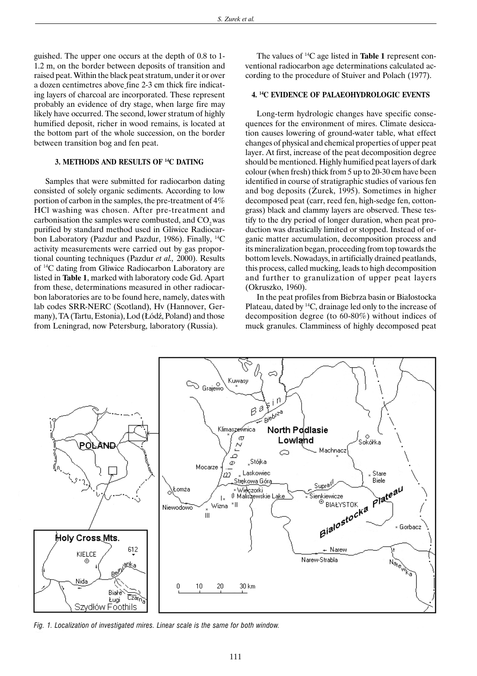guished. The upper one occurs at the depth of 0.8 to 1- 1.2 m, on the border between deposits of transition and raised peat. Within the black peat stratum, under it or over a dozen centimetres above fine 2-3 cm thick fire indicating layers of charcoal are incorporated. These represent probably an evidence of dry stage, when large fire may likely have occurred. The second, lower stratum of highly humified deposit, richer in wood remains, is located at the bottom part of the whole succession, on the border between transition bog and fen peat.

## **3. METHODS AND RESULTS OF 14C DATING**

Samples that were submitted for radiocarbon dating consisted of solely organic sediments. According to low portion of carbon in the samples, the pre-treatment of 4% HCl washing was chosen. After pre-treatment and carbonisation the samples were combusted, and  $CO<sub>2</sub>$  was purified by standard method used in Gliwice Radiocarbon Laboratory (Pazdur and Pazdur, 1986). Finally, 14C activity measurements were carried out by gas proportional counting techniques (Pazdur *et al.,* 2000). Results of 14C dating from Gliwice Radiocarbon Laboratory are listed in **Table 1**, marked with laboratory code Gd. Apart from these, determinations measured in other radiocarbon laboratories are to be found here, namely, dates with lab codes SRR-NERC (Scotland), Hv (Hannover, Germany), TA (Tartu, Estonia), Lod (Łódź, Poland) and those from Leningrad, now Petersburg, laboratory (Russia).

The values of 14C age listed in **Table 1** represent conventional radiocarbon age determinations calculated according to the procedure of Stuiver and Polach (1977).

## **4. 14C EVIDENCE OF PALAEOHYDROLOGIC EVENTS**

Long-term hydrologic changes have specific consequences for the environment of mires. Climate desiccation causes lowering of ground-water table, what effect changes of physical and chemical properties of upper peat layer. At first, increase of the peat decomposition degree should be mentioned. Highly humified peat layers of dark colour (when fresh) thick from 5 up to 20-30 cm have been identified in course of stratigraphic studies of various fen and bog deposits (Zurek, 1995). Sometimes in higher decomposed peat (carr, reed fen, high-sedge fen, cottongrass) black and clammy layers are observed. These testify to the dry period of longer duration, when peat production was drastically limited or stopped. Instead of organic matter accumulation, decomposition process and its mineralization began, proceeding from top towards the bottom levels. Nowadays, in artificially drained peatlands, this process, called mucking, leads to high decomposition and further to granulization of upper peat layers (Okruszko, 1960).

In the peat profiles from Biebrza basin or Białostocka Plateau, dated by 14C, drainage led only to the increase of decomposition degree (to 60-80%) without indices of muck granules. Clamminess of highly decomposed peat



*Fig. 1. Localization of investigated mires. Linear scale is the same for both window.*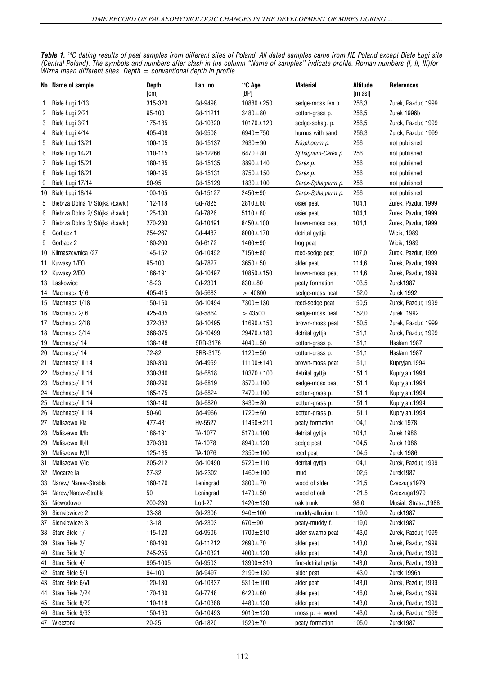*Table 1. 14C dating results of peat samples from different sites of Poland. All dated samples came from NE Poland except Bia³e £ugi site (Central Poland). The symbols and numbers after slash in the column "Name of samples" indicate profile. Roman numbers (I, II, III)for Wizna mean different sites. Depth = conventional depth in profile.*

| Gd-9498<br>315-320<br>$10880 + 250$<br>256,3<br>Zurek, Pazdur, 1999<br>Białe Ługi 1/13<br>sedge-moss fen p.<br>256,5<br>$\overline{2}$<br>95-100<br>Gd-11211<br>$3480 + 80$<br>Žurek 1996b<br>Biale Ługi 2/21<br>cotton-grass p.<br>3<br>175-185<br>$10170 \pm 120$<br>256,5<br>Zurek, Pazdur, 1999<br>Białe Ługi 3/21<br>Gd-10320<br>sedge-sphag. p.<br>Gd-9508<br>256,3<br>4<br>Biale Ługi 4/14<br>405-408<br>6940±750<br>humus with sand<br>Žurek, Pazdur, 1999<br>5<br>100-105<br>256<br>Białe Ługi 13/21<br>Gd-15137<br>$2630 \pm 90$<br>not published<br>Eriophorum p.<br>256<br>6<br>Gd-12266<br>$6470 + 80$<br>Biale Ługi 14/21<br>110-115<br>Sphagnum-Carex p.<br>not published<br>7<br>180-185<br>Gd-15135<br>256<br>Biale Ługi 15/21<br>8890±140<br>not published<br>Carex p.<br>256<br>8<br>190-195<br>Gd-15131<br>$8750 \pm 150$<br>Białe Ługi 16/21<br>Carex p.<br>not published<br>9<br>Białe Ługi 17/14<br>90-95<br>Gd-15129<br>256<br>$1830 \pm 100$<br>Carex-Sphagnum p.<br>not published<br>256<br>Białe Ługi 18/14<br>100-105<br>Gd-15127<br>$2450 + 90$<br>Carex-Sphagnum p.<br>10<br>not published<br>5<br>Gd-7825<br>Biebrza Dolna 1/ Stójka (Ławki)<br>112-118<br>$2810 + 60$<br>104,1<br>Zurek, Pazdur, 1999<br>osier peat<br>6<br>Biebrza Dolna 2/ Stójka (Ławki)<br>125-130<br>Gd-7826<br>$5110 \pm 60$<br>Żurek, Pazdur, 1999<br>104,1<br>osier peat<br>7<br>270-280<br>Żurek, Pazdur, 1999<br>Biebrza Dolna 3/ Stójka (Ławki)<br>Gd-10491<br>$8450 \pm 100$<br>104,1<br>brown-moss peat<br>8<br>254-267<br>Gd-4487<br>$8000 \pm 170$<br><b>Wicik, 1989</b><br>Gorbacz 1<br>detrital gyttja<br>9<br>Gorbacz 2<br>180-200<br>Gd-6172<br>$1460 + 90$<br><b>Wicik, 1989</b><br>bog peat<br>$7150 + 80$<br>107,0<br>10<br>Klimaszewnica /27<br>145-152<br>Gd-10492<br>Zurek, Pazdur, 1999<br>reed-sedge peat<br>Kuwasy 1/EO<br>95-100<br>Gd-7827<br>$3650 + 50$<br>114,6<br>Zurek, Pazdur, 1999<br>11<br>alder peat<br>Zurek, Pazdur, 1999<br>12 Kuwasy 2/EO<br>186-191<br>Gd-10497<br>$10850 \pm 150$<br>114,6<br>brown-moss peat<br>18-23<br>Gd-2301<br>$830 + 80$<br>103,5<br>Žurek1987<br>13 Laskowiec<br>peaty formation<br>Žurek 1992<br>405-415<br>Gd-5683<br>>40800<br>152,0<br>14<br>Machnacz 1/6<br>sedge-moss peat<br>Gd-10494<br>$7300 \pm 130$<br>150,5<br>Żurek, Pazdur, 1999<br>Machnacz 1/18<br>150-160<br>15<br>reed-sedge peat<br>425-435<br>Gd-5864<br>>43500<br>152,0<br>Żurek 1992<br>Machnacz 2/6<br>16<br>sedge-moss peat<br>Machnacz 2/18<br>372-382<br>Gd-10495<br>$11690 \pm 150$<br>150,5<br>Zurek, Pazdur, 1999<br>17<br>brown-moss peat<br>Žurek, Pazdur, 1999<br>Machnacz 3/14<br>368-375<br>Gd-10499<br>29470±180<br>151,1<br>18<br>detrital gyttja<br>138-148<br>SRR-3176<br>Haslam 1987<br>Machnacz/14<br>$4040 + 50$<br>151,1<br>19<br>cotton-grass p.<br>72-82<br>20<br>Machnacz/14<br>SRR-3175<br>$1120 \pm 50$<br>151,1<br>Haslam 1987<br>cotton-grass p.<br>21<br>380-390<br>Gd-4959<br>11100±140<br>151,1<br>Machnacz/ III 14<br>Kupryjan.1994<br>brown-moss peat<br>22<br>Machnacz/ III 14<br>330-340<br>Gd-6818<br>$10370 \pm 100$<br>151,1<br>Kupryjan.1994<br>detrital gyttja<br>23<br>280-290<br>Gd-6819<br>$8570 \pm 100$<br>151,1<br>Machnacz/ III 14<br>sedge-moss peat<br>Kupryjan.1994<br>24<br>Machnacz/ III 14<br>165-175<br>Gd-6824<br>7470±100<br>151,1<br>Kupryjan.1994<br>cotton-grass p.<br>Gd-6820<br>25<br>Machnacz/ III 14<br>130-140<br>$3430 + 80$<br>151,1<br>Kupryjan.1994<br>cotton-grass p.<br>50-60<br>Gd-4966<br>$1720 \pm 60$<br>151,1<br>26<br>Machnacz/ III 14<br>Kupryjan.1994<br>cotton-grass p.<br>Hv-5527<br>Žurek 1978<br>27<br>Maliszewo I/la<br>477-481<br>11460±210<br>104,1<br>peaty formation<br>TA-1077<br>104,1<br>Žurek 1986<br>28<br>Maliszewo II/Ib<br>186-191<br>$5170 \pm 100$<br>detrital gyttja<br>$\overline{Z}$ urek 1986<br>370-380<br>TA-1078<br>Maliszewo III/II<br>$8940 \pm 120$<br>104,5<br>29<br>sedge peat<br>Maliszewo IV/II<br>125-135<br>TA-1076<br>104,5<br>Zurek 1986<br>$2350 \pm 100$<br>reed peat<br>30<br>Maliszewo V/Ic<br>205-212<br>Gd-10490<br>$5720 \pm 110$<br>104,1<br>Zurek, Pazdur, 1999<br>31<br>detrital gyttja<br>27-32<br>Gd-2302<br>102,5<br>Žurek1987<br>32 Mocarze la<br>$1460 \pm 100$<br>mud<br>Narew/ Narew-Strabla<br>160-170<br>$3800 \pm 70$<br>wood of alder<br>121,5<br>33<br>Leningrad<br>Czeczuga1979<br>Narew/Narew-Strabla<br>34<br>50<br>Leningrad<br>$1470 + 50$<br>wood of oak<br>121,5<br>Czeczuga1979<br>Niewodowo<br>200-230<br>$Lod-27$<br>$1420 \pm 130$<br>98,0<br>Musial, Strasz., 1988<br>35<br>oak trunk<br>Sienkiewicze 2<br>33-38<br>Gd-2306<br>$940 \pm 100$<br>119,0<br>Žurek1987<br>36<br>muddy-alluvium f.<br>13-18<br>Gd-2303<br>119,0<br>Žurek1987<br>37<br>Sienkiewicze 3<br>$670 + 90$<br>peaty-muddy f.<br>Gd-9506<br>38<br>Stare Biele 1/I<br>115-120<br>1700±210<br>143,0<br>Zurek, Pazdur, 1999<br>alder swamp peat<br>Gd-11212<br>$2690 \pm 70$<br>143,0<br>Żurek, Pazdur, 1999<br>Stare Biele 2/I<br>180-190<br>alder peat<br>39<br>245-255<br>Gd-10321<br>Stare Biele 3/I<br>$4000 \pm 120$<br>alder peat<br>143,0<br>Zurek, Pazdur, 1999<br>40<br>995-1005<br>Gd-9503<br>143,0<br>Žurek, Pazdur, 1999<br>41<br>Stare Biele 4/I<br>$13900 \pm 310$<br>fine-detrital gyttja<br>Stare Biele 5/II<br>94-100<br>Gd-9497<br>$2190 \pm 130$<br>143,0<br>Žurek 1996b<br>42<br>alder peat<br>120-130<br>Gd-10337<br>143,0<br>Żurek, Pazdur, 1999<br>Stare Biele 6/VII<br>$5310 \pm 100$<br>43<br>alder peat | No. Name of sample | <b>Depth</b><br>[cm] | Lab. no. | <sup>14</sup> C Age<br>[BP] | <b>Material</b> | <b>Altitude</b><br>$[m \text{ as }]$ | <b>References</b> |
|--------------------------------------------------------------------------------------------------------------------------------------------------------------------------------------------------------------------------------------------------------------------------------------------------------------------------------------------------------------------------------------------------------------------------------------------------------------------------------------------------------------------------------------------------------------------------------------------------------------------------------------------------------------------------------------------------------------------------------------------------------------------------------------------------------------------------------------------------------------------------------------------------------------------------------------------------------------------------------------------------------------------------------------------------------------------------------------------------------------------------------------------------------------------------------------------------------------------------------------------------------------------------------------------------------------------------------------------------------------------------------------------------------------------------------------------------------------------------------------------------------------------------------------------------------------------------------------------------------------------------------------------------------------------------------------------------------------------------------------------------------------------------------------------------------------------------------------------------------------------------------------------------------------------------------------------------------------------------------------------------------------------------------------------------------------------------------------------------------------------------------------------------------------------------------------------------------------------------------------------------------------------------------------------------------------------------------------------------------------------------------------------------------------------------------------------------------------------------------------------------------------------------------------------------------------------------------------------------------------------------------------------------------------------------------------------------------------------------------------------------------------------------------------------------------------------------------------------------------------------------------------------------------------------------------------------------------------------------------------------------------------------------------------------------------------------------------------------------------------------------------------------------------------------------------------------------------------------------------------------------------------------------------------------------------------------------------------------------------------------------------------------------------------------------------------------------------------------------------------------------------------------------------------------------------------------------------------------------------------------------------------------------------------------------------------------------------------------------------------------------------------------------------------------------------------------------------------------------------------------------------------------------------------------------------------------------------------------------------------------------------------------------------------------------------------------------------------------------------------------------------------------------------------------------------------------------------------------------------------------------------------------------------------------------------------------------------------------------------------------------------------------------------------------------------------------------------------------------------------------------------------------------------------------------------------------------------------------------------------------------------------------------------------------------------------------------------------------------------------------------------------------------------------------------------------------------------------------------------------------------------------------------------------------------------------------------------------------------------------------------------------------------------------------------------------------------------------------------------------------------------------------------------------------------------------------------------------------------------------------------------------------------------------------------------------------------------------------------------------------------------------------------------------------------------------------------------------------------------------------------|--------------------|----------------------|----------|-----------------------------|-----------------|--------------------------------------|-------------------|
|                                                                                                                                                                                                                                                                                                                                                                                                                                                                                                                                                                                                                                                                                                                                                                                                                                                                                                                                                                                                                                                                                                                                                                                                                                                                                                                                                                                                                                                                                                                                                                                                                                                                                                                                                                                                                                                                                                                                                                                                                                                                                                                                                                                                                                                                                                                                                                                                                                                                                                                                                                                                                                                                                                                                                                                                                                                                                                                                                                                                                                                                                                                                                                                                                                                                                                                                                                                                                                                                                                                                                                                                                                                                                                                                                                                                                                                                                                                                                                                                                                                                                                                                                                                                                                                                                                                                                                                                                                                                                                                                                                                                                                                                                                                                                                                                                                                                                                                                                                                                                                                                                                                                                                                                                                                                                                                                                                                                                                                                                                  |                    |                      |          |                             |                 |                                      |                   |
|                                                                                                                                                                                                                                                                                                                                                                                                                                                                                                                                                                                                                                                                                                                                                                                                                                                                                                                                                                                                                                                                                                                                                                                                                                                                                                                                                                                                                                                                                                                                                                                                                                                                                                                                                                                                                                                                                                                                                                                                                                                                                                                                                                                                                                                                                                                                                                                                                                                                                                                                                                                                                                                                                                                                                                                                                                                                                                                                                                                                                                                                                                                                                                                                                                                                                                                                                                                                                                                                                                                                                                                                                                                                                                                                                                                                                                                                                                                                                                                                                                                                                                                                                                                                                                                                                                                                                                                                                                                                                                                                                                                                                                                                                                                                                                                                                                                                                                                                                                                                                                                                                                                                                                                                                                                                                                                                                                                                                                                                                                  |                    |                      |          |                             |                 |                                      |                   |
|                                                                                                                                                                                                                                                                                                                                                                                                                                                                                                                                                                                                                                                                                                                                                                                                                                                                                                                                                                                                                                                                                                                                                                                                                                                                                                                                                                                                                                                                                                                                                                                                                                                                                                                                                                                                                                                                                                                                                                                                                                                                                                                                                                                                                                                                                                                                                                                                                                                                                                                                                                                                                                                                                                                                                                                                                                                                                                                                                                                                                                                                                                                                                                                                                                                                                                                                                                                                                                                                                                                                                                                                                                                                                                                                                                                                                                                                                                                                                                                                                                                                                                                                                                                                                                                                                                                                                                                                                                                                                                                                                                                                                                                                                                                                                                                                                                                                                                                                                                                                                                                                                                                                                                                                                                                                                                                                                                                                                                                                                                  |                    |                      |          |                             |                 |                                      |                   |
|                                                                                                                                                                                                                                                                                                                                                                                                                                                                                                                                                                                                                                                                                                                                                                                                                                                                                                                                                                                                                                                                                                                                                                                                                                                                                                                                                                                                                                                                                                                                                                                                                                                                                                                                                                                                                                                                                                                                                                                                                                                                                                                                                                                                                                                                                                                                                                                                                                                                                                                                                                                                                                                                                                                                                                                                                                                                                                                                                                                                                                                                                                                                                                                                                                                                                                                                                                                                                                                                                                                                                                                                                                                                                                                                                                                                                                                                                                                                                                                                                                                                                                                                                                                                                                                                                                                                                                                                                                                                                                                                                                                                                                                                                                                                                                                                                                                                                                                                                                                                                                                                                                                                                                                                                                                                                                                                                                                                                                                                                                  |                    |                      |          |                             |                 |                                      |                   |
|                                                                                                                                                                                                                                                                                                                                                                                                                                                                                                                                                                                                                                                                                                                                                                                                                                                                                                                                                                                                                                                                                                                                                                                                                                                                                                                                                                                                                                                                                                                                                                                                                                                                                                                                                                                                                                                                                                                                                                                                                                                                                                                                                                                                                                                                                                                                                                                                                                                                                                                                                                                                                                                                                                                                                                                                                                                                                                                                                                                                                                                                                                                                                                                                                                                                                                                                                                                                                                                                                                                                                                                                                                                                                                                                                                                                                                                                                                                                                                                                                                                                                                                                                                                                                                                                                                                                                                                                                                                                                                                                                                                                                                                                                                                                                                                                                                                                                                                                                                                                                                                                                                                                                                                                                                                                                                                                                                                                                                                                                                  |                    |                      |          |                             |                 |                                      |                   |
|                                                                                                                                                                                                                                                                                                                                                                                                                                                                                                                                                                                                                                                                                                                                                                                                                                                                                                                                                                                                                                                                                                                                                                                                                                                                                                                                                                                                                                                                                                                                                                                                                                                                                                                                                                                                                                                                                                                                                                                                                                                                                                                                                                                                                                                                                                                                                                                                                                                                                                                                                                                                                                                                                                                                                                                                                                                                                                                                                                                                                                                                                                                                                                                                                                                                                                                                                                                                                                                                                                                                                                                                                                                                                                                                                                                                                                                                                                                                                                                                                                                                                                                                                                                                                                                                                                                                                                                                                                                                                                                                                                                                                                                                                                                                                                                                                                                                                                                                                                                                                                                                                                                                                                                                                                                                                                                                                                                                                                                                                                  |                    |                      |          |                             |                 |                                      |                   |
|                                                                                                                                                                                                                                                                                                                                                                                                                                                                                                                                                                                                                                                                                                                                                                                                                                                                                                                                                                                                                                                                                                                                                                                                                                                                                                                                                                                                                                                                                                                                                                                                                                                                                                                                                                                                                                                                                                                                                                                                                                                                                                                                                                                                                                                                                                                                                                                                                                                                                                                                                                                                                                                                                                                                                                                                                                                                                                                                                                                                                                                                                                                                                                                                                                                                                                                                                                                                                                                                                                                                                                                                                                                                                                                                                                                                                                                                                                                                                                                                                                                                                                                                                                                                                                                                                                                                                                                                                                                                                                                                                                                                                                                                                                                                                                                                                                                                                                                                                                                                                                                                                                                                                                                                                                                                                                                                                                                                                                                                                                  |                    |                      |          |                             |                 |                                      |                   |
|                                                                                                                                                                                                                                                                                                                                                                                                                                                                                                                                                                                                                                                                                                                                                                                                                                                                                                                                                                                                                                                                                                                                                                                                                                                                                                                                                                                                                                                                                                                                                                                                                                                                                                                                                                                                                                                                                                                                                                                                                                                                                                                                                                                                                                                                                                                                                                                                                                                                                                                                                                                                                                                                                                                                                                                                                                                                                                                                                                                                                                                                                                                                                                                                                                                                                                                                                                                                                                                                                                                                                                                                                                                                                                                                                                                                                                                                                                                                                                                                                                                                                                                                                                                                                                                                                                                                                                                                                                                                                                                                                                                                                                                                                                                                                                                                                                                                                                                                                                                                                                                                                                                                                                                                                                                                                                                                                                                                                                                                                                  |                    |                      |          |                             |                 |                                      |                   |
|                                                                                                                                                                                                                                                                                                                                                                                                                                                                                                                                                                                                                                                                                                                                                                                                                                                                                                                                                                                                                                                                                                                                                                                                                                                                                                                                                                                                                                                                                                                                                                                                                                                                                                                                                                                                                                                                                                                                                                                                                                                                                                                                                                                                                                                                                                                                                                                                                                                                                                                                                                                                                                                                                                                                                                                                                                                                                                                                                                                                                                                                                                                                                                                                                                                                                                                                                                                                                                                                                                                                                                                                                                                                                                                                                                                                                                                                                                                                                                                                                                                                                                                                                                                                                                                                                                                                                                                                                                                                                                                                                                                                                                                                                                                                                                                                                                                                                                                                                                                                                                                                                                                                                                                                                                                                                                                                                                                                                                                                                                  |                    |                      |          |                             |                 |                                      |                   |
|                                                                                                                                                                                                                                                                                                                                                                                                                                                                                                                                                                                                                                                                                                                                                                                                                                                                                                                                                                                                                                                                                                                                                                                                                                                                                                                                                                                                                                                                                                                                                                                                                                                                                                                                                                                                                                                                                                                                                                                                                                                                                                                                                                                                                                                                                                                                                                                                                                                                                                                                                                                                                                                                                                                                                                                                                                                                                                                                                                                                                                                                                                                                                                                                                                                                                                                                                                                                                                                                                                                                                                                                                                                                                                                                                                                                                                                                                                                                                                                                                                                                                                                                                                                                                                                                                                                                                                                                                                                                                                                                                                                                                                                                                                                                                                                                                                                                                                                                                                                                                                                                                                                                                                                                                                                                                                                                                                                                                                                                                                  |                    |                      |          |                             |                 |                                      |                   |
|                                                                                                                                                                                                                                                                                                                                                                                                                                                                                                                                                                                                                                                                                                                                                                                                                                                                                                                                                                                                                                                                                                                                                                                                                                                                                                                                                                                                                                                                                                                                                                                                                                                                                                                                                                                                                                                                                                                                                                                                                                                                                                                                                                                                                                                                                                                                                                                                                                                                                                                                                                                                                                                                                                                                                                                                                                                                                                                                                                                                                                                                                                                                                                                                                                                                                                                                                                                                                                                                                                                                                                                                                                                                                                                                                                                                                                                                                                                                                                                                                                                                                                                                                                                                                                                                                                                                                                                                                                                                                                                                                                                                                                                                                                                                                                                                                                                                                                                                                                                                                                                                                                                                                                                                                                                                                                                                                                                                                                                                                                  |                    |                      |          |                             |                 |                                      |                   |
|                                                                                                                                                                                                                                                                                                                                                                                                                                                                                                                                                                                                                                                                                                                                                                                                                                                                                                                                                                                                                                                                                                                                                                                                                                                                                                                                                                                                                                                                                                                                                                                                                                                                                                                                                                                                                                                                                                                                                                                                                                                                                                                                                                                                                                                                                                                                                                                                                                                                                                                                                                                                                                                                                                                                                                                                                                                                                                                                                                                                                                                                                                                                                                                                                                                                                                                                                                                                                                                                                                                                                                                                                                                                                                                                                                                                                                                                                                                                                                                                                                                                                                                                                                                                                                                                                                                                                                                                                                                                                                                                                                                                                                                                                                                                                                                                                                                                                                                                                                                                                                                                                                                                                                                                                                                                                                                                                                                                                                                                                                  |                    |                      |          |                             |                 |                                      |                   |
|                                                                                                                                                                                                                                                                                                                                                                                                                                                                                                                                                                                                                                                                                                                                                                                                                                                                                                                                                                                                                                                                                                                                                                                                                                                                                                                                                                                                                                                                                                                                                                                                                                                                                                                                                                                                                                                                                                                                                                                                                                                                                                                                                                                                                                                                                                                                                                                                                                                                                                                                                                                                                                                                                                                                                                                                                                                                                                                                                                                                                                                                                                                                                                                                                                                                                                                                                                                                                                                                                                                                                                                                                                                                                                                                                                                                                                                                                                                                                                                                                                                                                                                                                                                                                                                                                                                                                                                                                                                                                                                                                                                                                                                                                                                                                                                                                                                                                                                                                                                                                                                                                                                                                                                                                                                                                                                                                                                                                                                                                                  |                    |                      |          |                             |                 |                                      |                   |
|                                                                                                                                                                                                                                                                                                                                                                                                                                                                                                                                                                                                                                                                                                                                                                                                                                                                                                                                                                                                                                                                                                                                                                                                                                                                                                                                                                                                                                                                                                                                                                                                                                                                                                                                                                                                                                                                                                                                                                                                                                                                                                                                                                                                                                                                                                                                                                                                                                                                                                                                                                                                                                                                                                                                                                                                                                                                                                                                                                                                                                                                                                                                                                                                                                                                                                                                                                                                                                                                                                                                                                                                                                                                                                                                                                                                                                                                                                                                                                                                                                                                                                                                                                                                                                                                                                                                                                                                                                                                                                                                                                                                                                                                                                                                                                                                                                                                                                                                                                                                                                                                                                                                                                                                                                                                                                                                                                                                                                                                                                  |                    |                      |          |                             |                 |                                      |                   |
|                                                                                                                                                                                                                                                                                                                                                                                                                                                                                                                                                                                                                                                                                                                                                                                                                                                                                                                                                                                                                                                                                                                                                                                                                                                                                                                                                                                                                                                                                                                                                                                                                                                                                                                                                                                                                                                                                                                                                                                                                                                                                                                                                                                                                                                                                                                                                                                                                                                                                                                                                                                                                                                                                                                                                                                                                                                                                                                                                                                                                                                                                                                                                                                                                                                                                                                                                                                                                                                                                                                                                                                                                                                                                                                                                                                                                                                                                                                                                                                                                                                                                                                                                                                                                                                                                                                                                                                                                                                                                                                                                                                                                                                                                                                                                                                                                                                                                                                                                                                                                                                                                                                                                                                                                                                                                                                                                                                                                                                                                                  |                    |                      |          |                             |                 |                                      |                   |
|                                                                                                                                                                                                                                                                                                                                                                                                                                                                                                                                                                                                                                                                                                                                                                                                                                                                                                                                                                                                                                                                                                                                                                                                                                                                                                                                                                                                                                                                                                                                                                                                                                                                                                                                                                                                                                                                                                                                                                                                                                                                                                                                                                                                                                                                                                                                                                                                                                                                                                                                                                                                                                                                                                                                                                                                                                                                                                                                                                                                                                                                                                                                                                                                                                                                                                                                                                                                                                                                                                                                                                                                                                                                                                                                                                                                                                                                                                                                                                                                                                                                                                                                                                                                                                                                                                                                                                                                                                                                                                                                                                                                                                                                                                                                                                                                                                                                                                                                                                                                                                                                                                                                                                                                                                                                                                                                                                                                                                                                                                  |                    |                      |          |                             |                 |                                      |                   |
|                                                                                                                                                                                                                                                                                                                                                                                                                                                                                                                                                                                                                                                                                                                                                                                                                                                                                                                                                                                                                                                                                                                                                                                                                                                                                                                                                                                                                                                                                                                                                                                                                                                                                                                                                                                                                                                                                                                                                                                                                                                                                                                                                                                                                                                                                                                                                                                                                                                                                                                                                                                                                                                                                                                                                                                                                                                                                                                                                                                                                                                                                                                                                                                                                                                                                                                                                                                                                                                                                                                                                                                                                                                                                                                                                                                                                                                                                                                                                                                                                                                                                                                                                                                                                                                                                                                                                                                                                                                                                                                                                                                                                                                                                                                                                                                                                                                                                                                                                                                                                                                                                                                                                                                                                                                                                                                                                                                                                                                                                                  |                    |                      |          |                             |                 |                                      |                   |
|                                                                                                                                                                                                                                                                                                                                                                                                                                                                                                                                                                                                                                                                                                                                                                                                                                                                                                                                                                                                                                                                                                                                                                                                                                                                                                                                                                                                                                                                                                                                                                                                                                                                                                                                                                                                                                                                                                                                                                                                                                                                                                                                                                                                                                                                                                                                                                                                                                                                                                                                                                                                                                                                                                                                                                                                                                                                                                                                                                                                                                                                                                                                                                                                                                                                                                                                                                                                                                                                                                                                                                                                                                                                                                                                                                                                                                                                                                                                                                                                                                                                                                                                                                                                                                                                                                                                                                                                                                                                                                                                                                                                                                                                                                                                                                                                                                                                                                                                                                                                                                                                                                                                                                                                                                                                                                                                                                                                                                                                                                  |                    |                      |          |                             |                 |                                      |                   |
|                                                                                                                                                                                                                                                                                                                                                                                                                                                                                                                                                                                                                                                                                                                                                                                                                                                                                                                                                                                                                                                                                                                                                                                                                                                                                                                                                                                                                                                                                                                                                                                                                                                                                                                                                                                                                                                                                                                                                                                                                                                                                                                                                                                                                                                                                                                                                                                                                                                                                                                                                                                                                                                                                                                                                                                                                                                                                                                                                                                                                                                                                                                                                                                                                                                                                                                                                                                                                                                                                                                                                                                                                                                                                                                                                                                                                                                                                                                                                                                                                                                                                                                                                                                                                                                                                                                                                                                                                                                                                                                                                                                                                                                                                                                                                                                                                                                                                                                                                                                                                                                                                                                                                                                                                                                                                                                                                                                                                                                                                                  |                    |                      |          |                             |                 |                                      |                   |
|                                                                                                                                                                                                                                                                                                                                                                                                                                                                                                                                                                                                                                                                                                                                                                                                                                                                                                                                                                                                                                                                                                                                                                                                                                                                                                                                                                                                                                                                                                                                                                                                                                                                                                                                                                                                                                                                                                                                                                                                                                                                                                                                                                                                                                                                                                                                                                                                                                                                                                                                                                                                                                                                                                                                                                                                                                                                                                                                                                                                                                                                                                                                                                                                                                                                                                                                                                                                                                                                                                                                                                                                                                                                                                                                                                                                                                                                                                                                                                                                                                                                                                                                                                                                                                                                                                                                                                                                                                                                                                                                                                                                                                                                                                                                                                                                                                                                                                                                                                                                                                                                                                                                                                                                                                                                                                                                                                                                                                                                                                  |                    |                      |          |                             |                 |                                      |                   |
|                                                                                                                                                                                                                                                                                                                                                                                                                                                                                                                                                                                                                                                                                                                                                                                                                                                                                                                                                                                                                                                                                                                                                                                                                                                                                                                                                                                                                                                                                                                                                                                                                                                                                                                                                                                                                                                                                                                                                                                                                                                                                                                                                                                                                                                                                                                                                                                                                                                                                                                                                                                                                                                                                                                                                                                                                                                                                                                                                                                                                                                                                                                                                                                                                                                                                                                                                                                                                                                                                                                                                                                                                                                                                                                                                                                                                                                                                                                                                                                                                                                                                                                                                                                                                                                                                                                                                                                                                                                                                                                                                                                                                                                                                                                                                                                                                                                                                                                                                                                                                                                                                                                                                                                                                                                                                                                                                                                                                                                                                                  |                    |                      |          |                             |                 |                                      |                   |
|                                                                                                                                                                                                                                                                                                                                                                                                                                                                                                                                                                                                                                                                                                                                                                                                                                                                                                                                                                                                                                                                                                                                                                                                                                                                                                                                                                                                                                                                                                                                                                                                                                                                                                                                                                                                                                                                                                                                                                                                                                                                                                                                                                                                                                                                                                                                                                                                                                                                                                                                                                                                                                                                                                                                                                                                                                                                                                                                                                                                                                                                                                                                                                                                                                                                                                                                                                                                                                                                                                                                                                                                                                                                                                                                                                                                                                                                                                                                                                                                                                                                                                                                                                                                                                                                                                                                                                                                                                                                                                                                                                                                                                                                                                                                                                                                                                                                                                                                                                                                                                                                                                                                                                                                                                                                                                                                                                                                                                                                                                  |                    |                      |          |                             |                 |                                      |                   |
|                                                                                                                                                                                                                                                                                                                                                                                                                                                                                                                                                                                                                                                                                                                                                                                                                                                                                                                                                                                                                                                                                                                                                                                                                                                                                                                                                                                                                                                                                                                                                                                                                                                                                                                                                                                                                                                                                                                                                                                                                                                                                                                                                                                                                                                                                                                                                                                                                                                                                                                                                                                                                                                                                                                                                                                                                                                                                                                                                                                                                                                                                                                                                                                                                                                                                                                                                                                                                                                                                                                                                                                                                                                                                                                                                                                                                                                                                                                                                                                                                                                                                                                                                                                                                                                                                                                                                                                                                                                                                                                                                                                                                                                                                                                                                                                                                                                                                                                                                                                                                                                                                                                                                                                                                                                                                                                                                                                                                                                                                                  |                    |                      |          |                             |                 |                                      |                   |
|                                                                                                                                                                                                                                                                                                                                                                                                                                                                                                                                                                                                                                                                                                                                                                                                                                                                                                                                                                                                                                                                                                                                                                                                                                                                                                                                                                                                                                                                                                                                                                                                                                                                                                                                                                                                                                                                                                                                                                                                                                                                                                                                                                                                                                                                                                                                                                                                                                                                                                                                                                                                                                                                                                                                                                                                                                                                                                                                                                                                                                                                                                                                                                                                                                                                                                                                                                                                                                                                                                                                                                                                                                                                                                                                                                                                                                                                                                                                                                                                                                                                                                                                                                                                                                                                                                                                                                                                                                                                                                                                                                                                                                                                                                                                                                                                                                                                                                                                                                                                                                                                                                                                                                                                                                                                                                                                                                                                                                                                                                  |                    |                      |          |                             |                 |                                      |                   |
|                                                                                                                                                                                                                                                                                                                                                                                                                                                                                                                                                                                                                                                                                                                                                                                                                                                                                                                                                                                                                                                                                                                                                                                                                                                                                                                                                                                                                                                                                                                                                                                                                                                                                                                                                                                                                                                                                                                                                                                                                                                                                                                                                                                                                                                                                                                                                                                                                                                                                                                                                                                                                                                                                                                                                                                                                                                                                                                                                                                                                                                                                                                                                                                                                                                                                                                                                                                                                                                                                                                                                                                                                                                                                                                                                                                                                                                                                                                                                                                                                                                                                                                                                                                                                                                                                                                                                                                                                                                                                                                                                                                                                                                                                                                                                                                                                                                                                                                                                                                                                                                                                                                                                                                                                                                                                                                                                                                                                                                                                                  |                    |                      |          |                             |                 |                                      |                   |
|                                                                                                                                                                                                                                                                                                                                                                                                                                                                                                                                                                                                                                                                                                                                                                                                                                                                                                                                                                                                                                                                                                                                                                                                                                                                                                                                                                                                                                                                                                                                                                                                                                                                                                                                                                                                                                                                                                                                                                                                                                                                                                                                                                                                                                                                                                                                                                                                                                                                                                                                                                                                                                                                                                                                                                                                                                                                                                                                                                                                                                                                                                                                                                                                                                                                                                                                                                                                                                                                                                                                                                                                                                                                                                                                                                                                                                                                                                                                                                                                                                                                                                                                                                                                                                                                                                                                                                                                                                                                                                                                                                                                                                                                                                                                                                                                                                                                                                                                                                                                                                                                                                                                                                                                                                                                                                                                                                                                                                                                                                  |                    |                      |          |                             |                 |                                      |                   |
|                                                                                                                                                                                                                                                                                                                                                                                                                                                                                                                                                                                                                                                                                                                                                                                                                                                                                                                                                                                                                                                                                                                                                                                                                                                                                                                                                                                                                                                                                                                                                                                                                                                                                                                                                                                                                                                                                                                                                                                                                                                                                                                                                                                                                                                                                                                                                                                                                                                                                                                                                                                                                                                                                                                                                                                                                                                                                                                                                                                                                                                                                                                                                                                                                                                                                                                                                                                                                                                                                                                                                                                                                                                                                                                                                                                                                                                                                                                                                                                                                                                                                                                                                                                                                                                                                                                                                                                                                                                                                                                                                                                                                                                                                                                                                                                                                                                                                                                                                                                                                                                                                                                                                                                                                                                                                                                                                                                                                                                                                                  |                    |                      |          |                             |                 |                                      |                   |
|                                                                                                                                                                                                                                                                                                                                                                                                                                                                                                                                                                                                                                                                                                                                                                                                                                                                                                                                                                                                                                                                                                                                                                                                                                                                                                                                                                                                                                                                                                                                                                                                                                                                                                                                                                                                                                                                                                                                                                                                                                                                                                                                                                                                                                                                                                                                                                                                                                                                                                                                                                                                                                                                                                                                                                                                                                                                                                                                                                                                                                                                                                                                                                                                                                                                                                                                                                                                                                                                                                                                                                                                                                                                                                                                                                                                                                                                                                                                                                                                                                                                                                                                                                                                                                                                                                                                                                                                                                                                                                                                                                                                                                                                                                                                                                                                                                                                                                                                                                                                                                                                                                                                                                                                                                                                                                                                                                                                                                                                                                  |                    |                      |          |                             |                 |                                      |                   |
|                                                                                                                                                                                                                                                                                                                                                                                                                                                                                                                                                                                                                                                                                                                                                                                                                                                                                                                                                                                                                                                                                                                                                                                                                                                                                                                                                                                                                                                                                                                                                                                                                                                                                                                                                                                                                                                                                                                                                                                                                                                                                                                                                                                                                                                                                                                                                                                                                                                                                                                                                                                                                                                                                                                                                                                                                                                                                                                                                                                                                                                                                                                                                                                                                                                                                                                                                                                                                                                                                                                                                                                                                                                                                                                                                                                                                                                                                                                                                                                                                                                                                                                                                                                                                                                                                                                                                                                                                                                                                                                                                                                                                                                                                                                                                                                                                                                                                                                                                                                                                                                                                                                                                                                                                                                                                                                                                                                                                                                                                                  |                    |                      |          |                             |                 |                                      |                   |
|                                                                                                                                                                                                                                                                                                                                                                                                                                                                                                                                                                                                                                                                                                                                                                                                                                                                                                                                                                                                                                                                                                                                                                                                                                                                                                                                                                                                                                                                                                                                                                                                                                                                                                                                                                                                                                                                                                                                                                                                                                                                                                                                                                                                                                                                                                                                                                                                                                                                                                                                                                                                                                                                                                                                                                                                                                                                                                                                                                                                                                                                                                                                                                                                                                                                                                                                                                                                                                                                                                                                                                                                                                                                                                                                                                                                                                                                                                                                                                                                                                                                                                                                                                                                                                                                                                                                                                                                                                                                                                                                                                                                                                                                                                                                                                                                                                                                                                                                                                                                                                                                                                                                                                                                                                                                                                                                                                                                                                                                                                  |                    |                      |          |                             |                 |                                      |                   |
|                                                                                                                                                                                                                                                                                                                                                                                                                                                                                                                                                                                                                                                                                                                                                                                                                                                                                                                                                                                                                                                                                                                                                                                                                                                                                                                                                                                                                                                                                                                                                                                                                                                                                                                                                                                                                                                                                                                                                                                                                                                                                                                                                                                                                                                                                                                                                                                                                                                                                                                                                                                                                                                                                                                                                                                                                                                                                                                                                                                                                                                                                                                                                                                                                                                                                                                                                                                                                                                                                                                                                                                                                                                                                                                                                                                                                                                                                                                                                                                                                                                                                                                                                                                                                                                                                                                                                                                                                                                                                                                                                                                                                                                                                                                                                                                                                                                                                                                                                                                                                                                                                                                                                                                                                                                                                                                                                                                                                                                                                                  |                    |                      |          |                             |                 |                                      |                   |
|                                                                                                                                                                                                                                                                                                                                                                                                                                                                                                                                                                                                                                                                                                                                                                                                                                                                                                                                                                                                                                                                                                                                                                                                                                                                                                                                                                                                                                                                                                                                                                                                                                                                                                                                                                                                                                                                                                                                                                                                                                                                                                                                                                                                                                                                                                                                                                                                                                                                                                                                                                                                                                                                                                                                                                                                                                                                                                                                                                                                                                                                                                                                                                                                                                                                                                                                                                                                                                                                                                                                                                                                                                                                                                                                                                                                                                                                                                                                                                                                                                                                                                                                                                                                                                                                                                                                                                                                                                                                                                                                                                                                                                                                                                                                                                                                                                                                                                                                                                                                                                                                                                                                                                                                                                                                                                                                                                                                                                                                                                  |                    |                      |          |                             |                 |                                      |                   |
|                                                                                                                                                                                                                                                                                                                                                                                                                                                                                                                                                                                                                                                                                                                                                                                                                                                                                                                                                                                                                                                                                                                                                                                                                                                                                                                                                                                                                                                                                                                                                                                                                                                                                                                                                                                                                                                                                                                                                                                                                                                                                                                                                                                                                                                                                                                                                                                                                                                                                                                                                                                                                                                                                                                                                                                                                                                                                                                                                                                                                                                                                                                                                                                                                                                                                                                                                                                                                                                                                                                                                                                                                                                                                                                                                                                                                                                                                                                                                                                                                                                                                                                                                                                                                                                                                                                                                                                                                                                                                                                                                                                                                                                                                                                                                                                                                                                                                                                                                                                                                                                                                                                                                                                                                                                                                                                                                                                                                                                                                                  |                    |                      |          |                             |                 |                                      |                   |
|                                                                                                                                                                                                                                                                                                                                                                                                                                                                                                                                                                                                                                                                                                                                                                                                                                                                                                                                                                                                                                                                                                                                                                                                                                                                                                                                                                                                                                                                                                                                                                                                                                                                                                                                                                                                                                                                                                                                                                                                                                                                                                                                                                                                                                                                                                                                                                                                                                                                                                                                                                                                                                                                                                                                                                                                                                                                                                                                                                                                                                                                                                                                                                                                                                                                                                                                                                                                                                                                                                                                                                                                                                                                                                                                                                                                                                                                                                                                                                                                                                                                                                                                                                                                                                                                                                                                                                                                                                                                                                                                                                                                                                                                                                                                                                                                                                                                                                                                                                                                                                                                                                                                                                                                                                                                                                                                                                                                                                                                                                  |                    |                      |          |                             |                 |                                      |                   |
|                                                                                                                                                                                                                                                                                                                                                                                                                                                                                                                                                                                                                                                                                                                                                                                                                                                                                                                                                                                                                                                                                                                                                                                                                                                                                                                                                                                                                                                                                                                                                                                                                                                                                                                                                                                                                                                                                                                                                                                                                                                                                                                                                                                                                                                                                                                                                                                                                                                                                                                                                                                                                                                                                                                                                                                                                                                                                                                                                                                                                                                                                                                                                                                                                                                                                                                                                                                                                                                                                                                                                                                                                                                                                                                                                                                                                                                                                                                                                                                                                                                                                                                                                                                                                                                                                                                                                                                                                                                                                                                                                                                                                                                                                                                                                                                                                                                                                                                                                                                                                                                                                                                                                                                                                                                                                                                                                                                                                                                                                                  |                    |                      |          |                             |                 |                                      |                   |
|                                                                                                                                                                                                                                                                                                                                                                                                                                                                                                                                                                                                                                                                                                                                                                                                                                                                                                                                                                                                                                                                                                                                                                                                                                                                                                                                                                                                                                                                                                                                                                                                                                                                                                                                                                                                                                                                                                                                                                                                                                                                                                                                                                                                                                                                                                                                                                                                                                                                                                                                                                                                                                                                                                                                                                                                                                                                                                                                                                                                                                                                                                                                                                                                                                                                                                                                                                                                                                                                                                                                                                                                                                                                                                                                                                                                                                                                                                                                                                                                                                                                                                                                                                                                                                                                                                                                                                                                                                                                                                                                                                                                                                                                                                                                                                                                                                                                                                                                                                                                                                                                                                                                                                                                                                                                                                                                                                                                                                                                                                  |                    |                      |          |                             |                 |                                      |                   |
|                                                                                                                                                                                                                                                                                                                                                                                                                                                                                                                                                                                                                                                                                                                                                                                                                                                                                                                                                                                                                                                                                                                                                                                                                                                                                                                                                                                                                                                                                                                                                                                                                                                                                                                                                                                                                                                                                                                                                                                                                                                                                                                                                                                                                                                                                                                                                                                                                                                                                                                                                                                                                                                                                                                                                                                                                                                                                                                                                                                                                                                                                                                                                                                                                                                                                                                                                                                                                                                                                                                                                                                                                                                                                                                                                                                                                                                                                                                                                                                                                                                                                                                                                                                                                                                                                                                                                                                                                                                                                                                                                                                                                                                                                                                                                                                                                                                                                                                                                                                                                                                                                                                                                                                                                                                                                                                                                                                                                                                                                                  |                    |                      |          |                             |                 |                                      |                   |
|                                                                                                                                                                                                                                                                                                                                                                                                                                                                                                                                                                                                                                                                                                                                                                                                                                                                                                                                                                                                                                                                                                                                                                                                                                                                                                                                                                                                                                                                                                                                                                                                                                                                                                                                                                                                                                                                                                                                                                                                                                                                                                                                                                                                                                                                                                                                                                                                                                                                                                                                                                                                                                                                                                                                                                                                                                                                                                                                                                                                                                                                                                                                                                                                                                                                                                                                                                                                                                                                                                                                                                                                                                                                                                                                                                                                                                                                                                                                                                                                                                                                                                                                                                                                                                                                                                                                                                                                                                                                                                                                                                                                                                                                                                                                                                                                                                                                                                                                                                                                                                                                                                                                                                                                                                                                                                                                                                                                                                                                                                  |                    |                      |          |                             |                 |                                      |                   |
|                                                                                                                                                                                                                                                                                                                                                                                                                                                                                                                                                                                                                                                                                                                                                                                                                                                                                                                                                                                                                                                                                                                                                                                                                                                                                                                                                                                                                                                                                                                                                                                                                                                                                                                                                                                                                                                                                                                                                                                                                                                                                                                                                                                                                                                                                                                                                                                                                                                                                                                                                                                                                                                                                                                                                                                                                                                                                                                                                                                                                                                                                                                                                                                                                                                                                                                                                                                                                                                                                                                                                                                                                                                                                                                                                                                                                                                                                                                                                                                                                                                                                                                                                                                                                                                                                                                                                                                                                                                                                                                                                                                                                                                                                                                                                                                                                                                                                                                                                                                                                                                                                                                                                                                                                                                                                                                                                                                                                                                                                                  |                    |                      |          |                             |                 |                                      |                   |
|                                                                                                                                                                                                                                                                                                                                                                                                                                                                                                                                                                                                                                                                                                                                                                                                                                                                                                                                                                                                                                                                                                                                                                                                                                                                                                                                                                                                                                                                                                                                                                                                                                                                                                                                                                                                                                                                                                                                                                                                                                                                                                                                                                                                                                                                                                                                                                                                                                                                                                                                                                                                                                                                                                                                                                                                                                                                                                                                                                                                                                                                                                                                                                                                                                                                                                                                                                                                                                                                                                                                                                                                                                                                                                                                                                                                                                                                                                                                                                                                                                                                                                                                                                                                                                                                                                                                                                                                                                                                                                                                                                                                                                                                                                                                                                                                                                                                                                                                                                                                                                                                                                                                                                                                                                                                                                                                                                                                                                                                                                  |                    |                      |          |                             |                 |                                      |                   |
|                                                                                                                                                                                                                                                                                                                                                                                                                                                                                                                                                                                                                                                                                                                                                                                                                                                                                                                                                                                                                                                                                                                                                                                                                                                                                                                                                                                                                                                                                                                                                                                                                                                                                                                                                                                                                                                                                                                                                                                                                                                                                                                                                                                                                                                                                                                                                                                                                                                                                                                                                                                                                                                                                                                                                                                                                                                                                                                                                                                                                                                                                                                                                                                                                                                                                                                                                                                                                                                                                                                                                                                                                                                                                                                                                                                                                                                                                                                                                                                                                                                                                                                                                                                                                                                                                                                                                                                                                                                                                                                                                                                                                                                                                                                                                                                                                                                                                                                                                                                                                                                                                                                                                                                                                                                                                                                                                                                                                                                                                                  |                    |                      |          |                             |                 |                                      |                   |
|                                                                                                                                                                                                                                                                                                                                                                                                                                                                                                                                                                                                                                                                                                                                                                                                                                                                                                                                                                                                                                                                                                                                                                                                                                                                                                                                                                                                                                                                                                                                                                                                                                                                                                                                                                                                                                                                                                                                                                                                                                                                                                                                                                                                                                                                                                                                                                                                                                                                                                                                                                                                                                                                                                                                                                                                                                                                                                                                                                                                                                                                                                                                                                                                                                                                                                                                                                                                                                                                                                                                                                                                                                                                                                                                                                                                                                                                                                                                                                                                                                                                                                                                                                                                                                                                                                                                                                                                                                                                                                                                                                                                                                                                                                                                                                                                                                                                                                                                                                                                                                                                                                                                                                                                                                                                                                                                                                                                                                                                                                  |                    |                      |          |                             |                 |                                      |                   |
|                                                                                                                                                                                                                                                                                                                                                                                                                                                                                                                                                                                                                                                                                                                                                                                                                                                                                                                                                                                                                                                                                                                                                                                                                                                                                                                                                                                                                                                                                                                                                                                                                                                                                                                                                                                                                                                                                                                                                                                                                                                                                                                                                                                                                                                                                                                                                                                                                                                                                                                                                                                                                                                                                                                                                                                                                                                                                                                                                                                                                                                                                                                                                                                                                                                                                                                                                                                                                                                                                                                                                                                                                                                                                                                                                                                                                                                                                                                                                                                                                                                                                                                                                                                                                                                                                                                                                                                                                                                                                                                                                                                                                                                                                                                                                                                                                                                                                                                                                                                                                                                                                                                                                                                                                                                                                                                                                                                                                                                                                                  |                    |                      |          |                             |                 |                                      |                   |
|                                                                                                                                                                                                                                                                                                                                                                                                                                                                                                                                                                                                                                                                                                                                                                                                                                                                                                                                                                                                                                                                                                                                                                                                                                                                                                                                                                                                                                                                                                                                                                                                                                                                                                                                                                                                                                                                                                                                                                                                                                                                                                                                                                                                                                                                                                                                                                                                                                                                                                                                                                                                                                                                                                                                                                                                                                                                                                                                                                                                                                                                                                                                                                                                                                                                                                                                                                                                                                                                                                                                                                                                                                                                                                                                                                                                                                                                                                                                                                                                                                                                                                                                                                                                                                                                                                                                                                                                                                                                                                                                                                                                                                                                                                                                                                                                                                                                                                                                                                                                                                                                                                                                                                                                                                                                                                                                                                                                                                                                                                  |                    |                      |          |                             |                 |                                      |                   |
|                                                                                                                                                                                                                                                                                                                                                                                                                                                                                                                                                                                                                                                                                                                                                                                                                                                                                                                                                                                                                                                                                                                                                                                                                                                                                                                                                                                                                                                                                                                                                                                                                                                                                                                                                                                                                                                                                                                                                                                                                                                                                                                                                                                                                                                                                                                                                                                                                                                                                                                                                                                                                                                                                                                                                                                                                                                                                                                                                                                                                                                                                                                                                                                                                                                                                                                                                                                                                                                                                                                                                                                                                                                                                                                                                                                                                                                                                                                                                                                                                                                                                                                                                                                                                                                                                                                                                                                                                                                                                                                                                                                                                                                                                                                                                                                                                                                                                                                                                                                                                                                                                                                                                                                                                                                                                                                                                                                                                                                                                                  |                    |                      |          |                             |                 |                                      |                   |
|                                                                                                                                                                                                                                                                                                                                                                                                                                                                                                                                                                                                                                                                                                                                                                                                                                                                                                                                                                                                                                                                                                                                                                                                                                                                                                                                                                                                                                                                                                                                                                                                                                                                                                                                                                                                                                                                                                                                                                                                                                                                                                                                                                                                                                                                                                                                                                                                                                                                                                                                                                                                                                                                                                                                                                                                                                                                                                                                                                                                                                                                                                                                                                                                                                                                                                                                                                                                                                                                                                                                                                                                                                                                                                                                                                                                                                                                                                                                                                                                                                                                                                                                                                                                                                                                                                                                                                                                                                                                                                                                                                                                                                                                                                                                                                                                                                                                                                                                                                                                                                                                                                                                                                                                                                                                                                                                                                                                                                                                                                  |                    |                      |          |                             |                 |                                      |                   |
|                                                                                                                                                                                                                                                                                                                                                                                                                                                                                                                                                                                                                                                                                                                                                                                                                                                                                                                                                                                                                                                                                                                                                                                                                                                                                                                                                                                                                                                                                                                                                                                                                                                                                                                                                                                                                                                                                                                                                                                                                                                                                                                                                                                                                                                                                                                                                                                                                                                                                                                                                                                                                                                                                                                                                                                                                                                                                                                                                                                                                                                                                                                                                                                                                                                                                                                                                                                                                                                                                                                                                                                                                                                                                                                                                                                                                                                                                                                                                                                                                                                                                                                                                                                                                                                                                                                                                                                                                                                                                                                                                                                                                                                                                                                                                                                                                                                                                                                                                                                                                                                                                                                                                                                                                                                                                                                                                                                                                                                                                                  |                    |                      |          |                             |                 |                                      |                   |
|                                                                                                                                                                                                                                                                                                                                                                                                                                                                                                                                                                                                                                                                                                                                                                                                                                                                                                                                                                                                                                                                                                                                                                                                                                                                                                                                                                                                                                                                                                                                                                                                                                                                                                                                                                                                                                                                                                                                                                                                                                                                                                                                                                                                                                                                                                                                                                                                                                                                                                                                                                                                                                                                                                                                                                                                                                                                                                                                                                                                                                                                                                                                                                                                                                                                                                                                                                                                                                                                                                                                                                                                                                                                                                                                                                                                                                                                                                                                                                                                                                                                                                                                                                                                                                                                                                                                                                                                                                                                                                                                                                                                                                                                                                                                                                                                                                                                                                                                                                                                                                                                                                                                                                                                                                                                                                                                                                                                                                                                                                  |                    |                      |          |                             |                 |                                      |                   |
|                                                                                                                                                                                                                                                                                                                                                                                                                                                                                                                                                                                                                                                                                                                                                                                                                                                                                                                                                                                                                                                                                                                                                                                                                                                                                                                                                                                                                                                                                                                                                                                                                                                                                                                                                                                                                                                                                                                                                                                                                                                                                                                                                                                                                                                                                                                                                                                                                                                                                                                                                                                                                                                                                                                                                                                                                                                                                                                                                                                                                                                                                                                                                                                                                                                                                                                                                                                                                                                                                                                                                                                                                                                                                                                                                                                                                                                                                                                                                                                                                                                                                                                                                                                                                                                                                                                                                                                                                                                                                                                                                                                                                                                                                                                                                                                                                                                                                                                                                                                                                                                                                                                                                                                                                                                                                                                                                                                                                                                                                                  |                    |                      |          |                             |                 |                                      |                   |
| Stare Biele 7/24<br>170-180<br>Gd-7748<br>$6420 + 60$<br>146,0<br>Zurek, Pazdur, 1999<br>44<br>alder peat                                                                                                                                                                                                                                                                                                                                                                                                                                                                                                                                                                                                                                                                                                                                                                                                                                                                                                                                                                                                                                                                                                                                                                                                                                                                                                                                                                                                                                                                                                                                                                                                                                                                                                                                                                                                                                                                                                                                                                                                                                                                                                                                                                                                                                                                                                                                                                                                                                                                                                                                                                                                                                                                                                                                                                                                                                                                                                                                                                                                                                                                                                                                                                                                                                                                                                                                                                                                                                                                                                                                                                                                                                                                                                                                                                                                                                                                                                                                                                                                                                                                                                                                                                                                                                                                                                                                                                                                                                                                                                                                                                                                                                                                                                                                                                                                                                                                                                                                                                                                                                                                                                                                                                                                                                                                                                                                                                                        |                    |                      |          |                             |                 |                                      |                   |
| Stare Biele 8/29<br>110-118<br>Gd-10388<br>$4480 \pm 130$<br>143,0<br>Zurek, Pazdur, 1999<br>alder peat<br>45                                                                                                                                                                                                                                                                                                                                                                                                                                                                                                                                                                                                                                                                                                                                                                                                                                                                                                                                                                                                                                                                                                                                                                                                                                                                                                                                                                                                                                                                                                                                                                                                                                                                                                                                                                                                                                                                                                                                                                                                                                                                                                                                                                                                                                                                                                                                                                                                                                                                                                                                                                                                                                                                                                                                                                                                                                                                                                                                                                                                                                                                                                                                                                                                                                                                                                                                                                                                                                                                                                                                                                                                                                                                                                                                                                                                                                                                                                                                                                                                                                                                                                                                                                                                                                                                                                                                                                                                                                                                                                                                                                                                                                                                                                                                                                                                                                                                                                                                                                                                                                                                                                                                                                                                                                                                                                                                                                                    |                    |                      |          |                             |                 |                                      |                   |
| Stare Biele 9/63<br>150-163<br>Gd-10493<br>143,0<br>Zurek, Pazdur, 1999<br>$9010 \pm 120$<br>46<br>moss $p_{\cdot}$ + wood                                                                                                                                                                                                                                                                                                                                                                                                                                                                                                                                                                                                                                                                                                                                                                                                                                                                                                                                                                                                                                                                                                                                                                                                                                                                                                                                                                                                                                                                                                                                                                                                                                                                                                                                                                                                                                                                                                                                                                                                                                                                                                                                                                                                                                                                                                                                                                                                                                                                                                                                                                                                                                                                                                                                                                                                                                                                                                                                                                                                                                                                                                                                                                                                                                                                                                                                                                                                                                                                                                                                                                                                                                                                                                                                                                                                                                                                                                                                                                                                                                                                                                                                                                                                                                                                                                                                                                                                                                                                                                                                                                                                                                                                                                                                                                                                                                                                                                                                                                                                                                                                                                                                                                                                                                                                                                                                                                       |                    |                      |          |                             |                 |                                      |                   |
| $20 - 25$<br>Gd-1820<br>105,0<br>Žurek1987<br>47 Wieczorki<br>$1520 \pm 70$<br>peaty formation                                                                                                                                                                                                                                                                                                                                                                                                                                                                                                                                                                                                                                                                                                                                                                                                                                                                                                                                                                                                                                                                                                                                                                                                                                                                                                                                                                                                                                                                                                                                                                                                                                                                                                                                                                                                                                                                                                                                                                                                                                                                                                                                                                                                                                                                                                                                                                                                                                                                                                                                                                                                                                                                                                                                                                                                                                                                                                                                                                                                                                                                                                                                                                                                                                                                                                                                                                                                                                                                                                                                                                                                                                                                                                                                                                                                                                                                                                                                                                                                                                                                                                                                                                                                                                                                                                                                                                                                                                                                                                                                                                                                                                                                                                                                                                                                                                                                                                                                                                                                                                                                                                                                                                                                                                                                                                                                                                                                   |                    |                      |          |                             |                 |                                      |                   |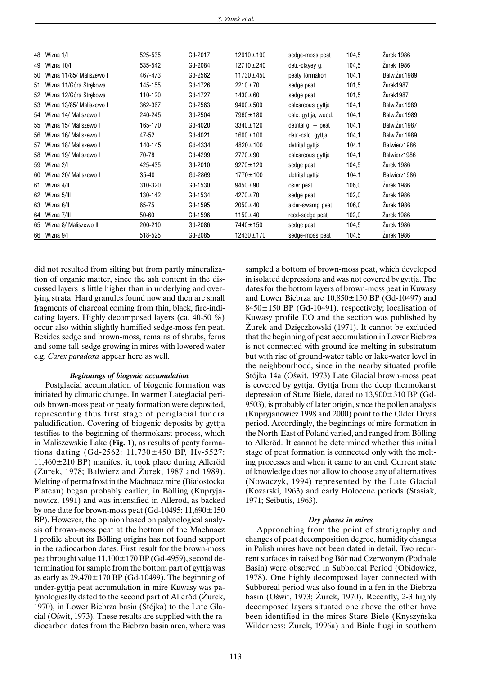| 48 | Wizna 1/I                   | 525-535   | Gd-2017 | $12610 \pm 190$ | sedge-moss peat             | 104,5 | Zurek 1986           |
|----|-----------------------------|-----------|---------|-----------------|-----------------------------|-------|----------------------|
| 49 | Wizna 10/I                  | 535-542   | Gd-2084 | $12710 \pm 240$ | detr.-clayey g.             | 104,5 | Žurek 1986           |
| 50 | Wizna 11/85/ Maliszewo I    | 467-473   | Gd-2562 | $11730 \pm 450$ | peaty formation             | 104,1 | <b>Balw.Zur.1989</b> |
| 51 | Wizna 11/Góra Strekowa      | 145-155   | Gd-1726 | $2210 \pm 70$   | sedge peat                  | 101,5 | Zurek1987            |
|    | 52 Wizna 12/Góra Strekowa   | 110-120   | Gd-1727 | $1430 \pm 60$   | sedge peat                  | 101,5 | Zurek1987            |
|    | 53 Wizna 13/85/ Maliszewo I | 362-367   | Gd-2563 | $9400 + 500$    | calcareous gyttja           | 104,1 | Balw. Zur. 1989      |
|    | 54 Wizna 14/ Maliszewo I    | 240-245   | Gd-2504 | 7960±180        | calc. gyttja, wood.         | 104,1 | Balw. Zur. 1989      |
|    | 55 Wizna 15/ Maliszewo I    | 165-170   | Gd-4020 | $3340 \pm 120$  | detrital $g_{\perp}$ + peat | 104,1 | Balw. Zur. 1987      |
|    | 56 Wizna 16/ Maliszewo I    | 47-52     | Gd-4021 | $1600 \pm 100$  | detr.-calc. gyttja          | 104,1 | Balw. Zur. 1989      |
| 57 | Wizna 18/ Maliszewo I       | 140-145   | Gd-4334 | $4820 \pm 100$  | detrital gyttja             | 104,1 | Balwierz1986         |
| 58 | Wizna 19/ Maliszewo I       | 70-78     | Gd-4299 | $2770 + 90$     | calcareous gyttja           | 104,1 | Balwierz1986         |
|    | 59 Wizna 2/I                | 425-435   | Gd-2010 | $9270 \pm 120$  | sedge peat                  | 104,5 | Zurek 1986           |
| 60 | Wizna 20/ Maliszewo I       | 35-40     | Gd-2869 | $1770 \pm 100$  | detrital gyttja             | 104,1 | Balwierz1986         |
| 61 | Wizna 4/II                  | 310-320   | Gd-1530 | $9450 + 90$     | osier peat                  | 106,0 | Zurek 1986           |
|    | 62 Wizna 5/III              | 130-142   | Gd-1534 | $4270 \pm 70$   | sedge peat                  | 102,0 | Zurek 1986           |
| 63 | Wizna 6/II                  | 65-75     | Gd-1595 | $2050 \pm 40$   | alder-swamp peat            | 106,0 | Zurek 1986           |
|    | 64 Wizna 7/III              | $50 - 60$ | Gd-1596 | $1150 \pm 40$   | reed-sedge peat             | 102,0 | Zurek 1986           |
| 65 | Wizna 8/ Maliszewo II       | 200-210   | Gd-2086 | 7440±150        | sedge peat                  | 104,5 | Zurek 1986           |
|    | 66 Wizna 9/I                | 518-525   | Gd-2085 | $12430 \pm 170$ | sedge-moss peat             | 104,5 | Zurek 1986           |

did not resulted from silting but from partly mineralization of organic matter, since the ash content in the discussed layers is little higher than in underlying and overlying strata. Hard granules found now and then are small fragments of charcoal coming from thin, black, fire-indicating layers. Highly decomposed layers (ca. 40-50 %) occur also within slightly humified sedge-moss fen peat. Besides sedge and brown-moss, remains of shrubs, ferns and some tall-sedge growing in mires with lowered water e.g. *Carex paradoxa* appear here as well.

#### *Beginnings of biogenic accumulation*

Postglacial accumulation of biogenic formation was initiated by climatic change. In warmer Lateglacial periods brown-moss peat or peaty formation were deposited, representing thus first stage of periglacial tundra paludification. Covering of biogenic deposits by gyttja testifies to the beginning of thermokarst process, which in Maliszewskie Lake (**Fig. 1**), as results of peaty formations dating (Gd-2562: 11,730±450 BP, Hv-5527: 11,460±210 BP) manifest it, took place during Alleröd  $(Zurek, 1978; Balwierz and Zurek, 1987 and 1989).$ Melting of permafrost in the Machnacz mire (Białostocka Plateau) began probably earlier, in Bölling (Kupryjanowicz, 1991) and was intensified in Alleröd, as backed by one date for brown-moss peat (Gd-10495:  $11,690 \pm 150$ BP). However, the opinion based on palynological analysis of brown-moss peat at the bottom of the Machnacz I profile about its Bölling origins has not found support in the radiocarbon dates. First result for the brown-moss peat brought value  $11,100\pm170$  BP (Gd-4959), second determination for sample from the bottom part of gyttja was as early as  $29,470\pm170$  BP (Gd-10499). The beginning of under-gyttja peat accumulation in mire Kuwasy was palynologically dated to the second part of Alleröd (Zurek, 1970), in Lower Biebrza basin (Stójka) to the Late Glacial (Oświt, 1973). These results are supplied with the radiocarbon dates from the Biebrza basin area, where was sampled a bottom of brown-moss peat, which developed in isolated depressions and was not covered by gyttja. The dates for the bottom layers of brown-moss peat in Kuwasy and Lower Biebrza are 10,850±150 BP (Gd-10497) and 8450±150 BP (Gd-10491), respectively; localisation of Kuwasy profile EO and the section was published by Zurek and Dzięczkowski (1971). It cannot be excluded that the beginning of peat accumulation in Lower Biebrza is not connected with ground ice melting in substratum but with rise of ground-water table or lake-water level in the neighbourhood, since in the nearby situated profile Stójka 14a (Oświt, 1973) Late Glacial brown-moss peat is covered by gyttja. Gyttja from the deep thermokarst depression of Stare Biele, dated to 13,900±310 BP (Gd-9503), is probably of later origin, since the pollen analysis (Kupryjanowicz 1998 and 2000) point to the Older Dryas period. Accordingly, the beginnings of mire formation in the North-East of Poland varied, and ranged from Bölling to Alleröd. It cannot be determined whether this initial stage of peat formation is connected only with the melting processes and when it came to an end. Current state of knowledge does not allow to choose any of alternatives (Nowaczyk, 1994) represented by the Late Glacial (Kozarski, 1963) and early Holocene periods (Stasiak, 1971; Seibutis, 1963).

#### *Dry phases in mires*

Approaching from the point of stratigraphy and changes of peat decomposition degree, humidity changes in Polish mires have not been dated in detail. Two recurrent surfaces in raised bog Bór nad Czerwonym (Podhale Basin) were observed in Subboreal Period (Obidowicz, 1978). One highly decomposed layer connected with Subboreal period was also found in a fen in the Biebrza basin (Oświt, 1973;  $\overline{Z}$ urek, 1970). Recently, 2-3 highly decomposed layers situated one above the other have been identified in the mires Stare Biele (Knyszyñska Wilderness: Zurek, 1996a) and Białe Ługi in southern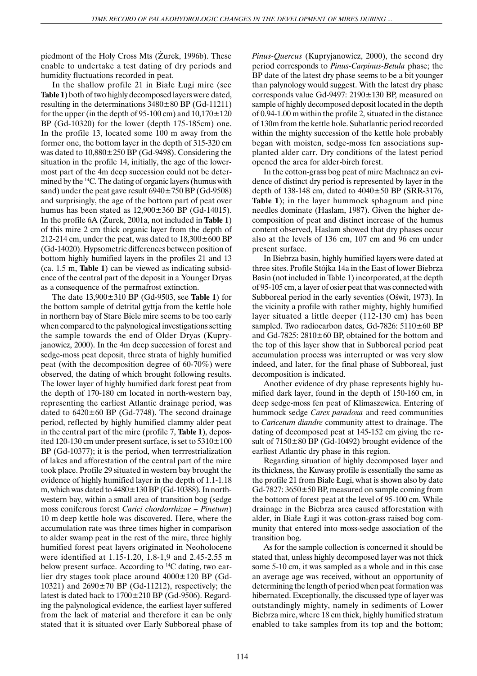piedmont of the Holy Cross Mts (Zurek, 1996b). These enable to undertake a test dating of dry periods and humidity fluctuations recorded in peat.

In the shallow profile 21 in Białe Ługi mire (see **Table 1**) both of two highly decomposed layers were dated, resulting in the determinations  $3480 \pm 80$  BP (Gd-11211) for the upper (in the depth of 95-100 cm) and  $10,170\pm120$ BP (Gd-10320) for the lower (depth 175-185cm) one. In the profile 13, located some 100 m away from the former one, the bottom layer in the depth of 315-320 cm was dated to 10,880±250 BP (Gd-9498). Considering the situation in the profile 14, initially, the age of the lowermost part of the 4m deep succession could not be determined by the 14C. The dating of organic layers (humus with sand) under the peat gave result  $6940 \pm 750$  BP (Gd-9508) and surprisingly, the age of the bottom part of peat over humus has been stated as  $12,900\pm360$  BP (Gd-14015). In the profile 6A (Zurek, 2001a, not included in **Table 1**) of this mire 2 cm thick organic layer from the depth of 212-214 cm, under the peat, was dated to  $18,300 \pm 600$  BP (Gd-14020). Hypsometric differences between position of bottom highly humified layers in the profiles 21 and 13 (ca. 1.5 m, **Table 1**) can be viewed as indicating subsidence of the central part of the deposit in a Younger Dryas as a consequence of the permafrost extinction.

The date 13,900±310 BP (Gd-9503, see **Table 1**) for the bottom sample of detrital gyttja from the kettle hole in northern bay of Stare Biele mire seems to be too early when compared to the palynological investigations setting the sample towards the end of Older Dryas (Kupryjanowicz, 2000). In the 4m deep succession of forest and sedge-moss peat deposit, three strata of highly humified peat (with the decomposition degree of 60-70%) were observed, the dating of which brought following results. The lower layer of highly humified dark forest peat from the depth of 170-180 cm located in north-western bay, representing the earliest Atlantic drainage period, was dated to  $6420 \pm 60$  BP (Gd-7748). The second drainage period, reflected by highly humified clammy alder peat in the central part of the mire (profile 7, **Table 1**), deposited 120-130 cm under present surface, is set to  $5310 \pm 100$ BP (Gd-10377); it is the period, when terrrestrialization of lakes and afforestation of the central part of the mire took place. Profile 29 situated in western bay brought the evidence of highly humified layer in the depth of 1.1-1.18 m, which was dated to  $4480 \pm 130$  BP (Gd-10388). In northwestern bay, within a small area of transition bog (sedge moss coniferous forest *Carici chordorrhizae – Pinetum*) 10 m deep kettle hole was discovered. Here, where the accumulation rate was three times higher in comparison to alder swamp peat in the rest of the mire, three highly humified forest peat layers originated in Neoholocene were identified at 1.15-1.20, 1.8-1,9 and 2.45-2.55 m below present surface. According to 14C dating, two earlier dry stages took place around 4000±120 BP (Gd-10321) and  $2690 \pm 70$  BP (Gd-11212), respectively; the latest is dated back to 1700±210 BP (Gd-9506). Regarding the palynological evidence, the earliest layer suffered from the lack of material and therefore it can be only stated that it is situated over Early Subboreal phase of *Pinus-Quercus* (Kupryjanowicz, 2000), the second dry period corresponds to *Pinus-Carpinus-Betula* phase; the BP date of the latest dry phase seems to be a bit younger than palynology would suggest. With the latest dry phase corresponds value Gd-9497: 2190±130 BP, measured on sample of highly decomposed deposit located in the depth of 0.94-1.00 m within the profile 2, situated in the distance of 130m from the kettle hole. Subatlantic period recorded within the mighty succession of the kettle hole probably began with moisten, sedge-moss fen associations supplanted alder carr. Dry conditions of the latest period opened the area for alder-birch forest.

In the cotton-grass bog peat of mire Machnacz an evidence of distinct dry period is represented by layer in the depth of 138-148 cm, dated to  $4040 \pm 50$  BP (SRR-3176, **Table 1**); in the layer hummock sphagnum and pine needles dominate (Haslam, 1987). Given the higher decomposition of peat and distinct increase of the humus content observed, Haslam showed that dry phases occur also at the levels of 136 cm, 107 cm and 96 cm under present surface.

In Biebrza basin, highly humified layers were dated at three sites. Profile Stójka 14a in the East of lower Biebrza Basin (not included in Table 1) incorporated, at the depth of 95-105 cm, a layer of osier peat that was connected with Subboreal period in the early seventies (Oświt, 1973). In the vicinity a profile with rather mighty, highly humified layer situated a little deeper (112-130 cm) has been sampled. Two radiocarbon dates, Gd-7826:  $5110 \pm 60$  BP and Gd-7825:  $2810 \pm 60$  BP, obtained for the bottom and the top of this layer show that in Subboreal period peat accumulation process was interrupted or was very slow indeed, and later, for the final phase of Subboreal, just decomposition is indicated.

Another evidence of dry phase represents highly humified dark layer, found in the depth of 150-160 cm, in deep sedge-moss fen peat of Klimaszewica. Entering of hummock sedge *Carex paradoxa* and reed communities to *Caricetum diandre* community attest to drainage. The dating of decomposed peat at 145-152 cm giving the result of  $7150\pm80$  BP (Gd-10492) brought evidence of the earliest Atlantic dry phase in this region.

Regarding situation of highly decomposed layer and its thickness, the Kuwasy profile is essentially the same as the profile 21 from Białe Ługi, what is shown also by date Gd-7827:  $3650 \pm 50$  BP, measured on sample coming from the bottom of forest peat at the level of 95-100 cm. While drainage in the Biebrza area caused afforestation with alder, in Białe Ługi it was cotton-grass raised bog community that entered into moss-sedge association of the transition bog.

As for the sample collection is concerned it should be stated that, unless highly decomposed layer was not thick some 5-10 cm, it was sampled as a whole and in this case an average age was received, without an opportunity of determining the length of period when peat formation was hibernated. Exceptionally, the discussed type of layer was outstandingly mighty, namely in sediments of Lower Biebrza mire, where 18 cm thick, highly humified stratum enabled to take samples from its top and the bottom;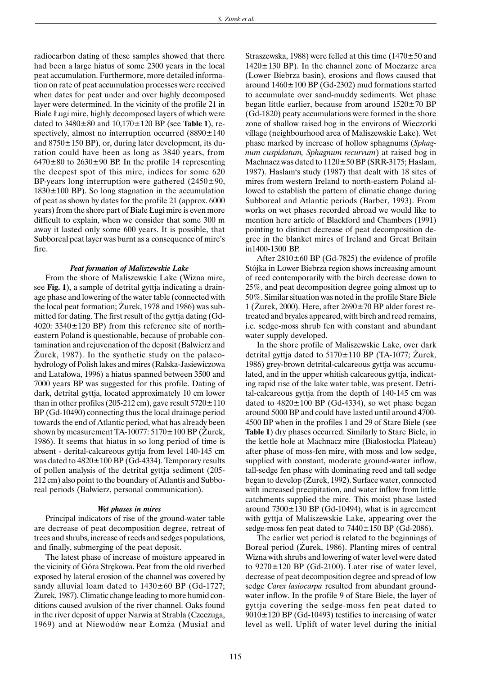radiocarbon dating of these samples showed that there had been a large hiatus of some 2300 years in the local peat accumulation. Furthermore, more detailed information on rate of peat accumulation processes were received when dates for peat under and over highly decomposed layer were determined. In the vicinity of the profile 21 in Białe Ługi mire, highly decomposed layers of which were dated to 3480±80 and 10,170±120 BP (see **Table 1**), respectively, almost no interruption occurred  $(8890 \pm 140)$ and  $8750 \pm 150$  BP), or, during later development, its duration could have been as long as 3840 years, from  $6470\pm80$  to  $2630\pm90$  BP. In the profile 14 representing the deepest spot of this mire, indices for some 620 BP-years long interruption were gathered  $(2450\pm90,$  $1830 \pm 100$  BP). So long stagnation in the accumulation of peat as shown by dates for the profile 21 (approx. 6000 years) from the shore part of Białe Ługi mire is even more difficult to explain, when we consider that some 300 m away it lasted only some 600 years. It is possible, that Subboreal peat layer was burnt as a consequence of mire's fire.

#### *Peat formation of Maliszewskie Lake*

From the shore of Maliszewskie Lake (Wizna mire, see **Fig. 1**), a sample of detrital gyttja indicating a drainage phase and lowering of the water table (connected with the local peat formation; Zurek, 1978 and 1986) was submitted for dating. The first result of the gyttja dating (Gd-4020:  $3340 \pm 120$  BP) from this reference site of northeastern Poland is questionable, because of probable contamination and rejuvenation of the deposit (Balwierz and Zurek, 1987). In the synthetic study on the palaeohydrology of Polish lakes and mires (Ralska-Jasiewiczowa and Latałowa, 1996) a hiatus spanned between 3500 and 7000 years BP was suggested for this profile. Dating of dark, detrital gyttja, located approximately 10 cm lower than in other profiles (205-212 cm), gave result  $5720 \pm 110$ BP (Gd-10490) connecting thus the local drainage period towards the end of Atlantic period, what has already been shown by measurement TA-10077:  $5170 \pm 100$  BP (Zurek, 1986). It seems that hiatus in so long period of time is absent - derital-calcareous gyttja from level 140-145 cm was dated to 4820±100 BP (Gd-4334). Temporary results of pollen analysis of the detrital gyttja sediment (205- 212 cm) also point to the boundary of Atlantis and Subboreal periods (Balwierz, personal communication).

## *Wet phases in mires*

Principal indicators of rise of the ground-water table are decrease of peat decomposition degree, retreat of trees and shrubs, increase of reeds and sedges populations, and finally, submerging of the peat deposit.

The latest phase of increase of moisture appeared in the vicinity of Góra Strekowa. Peat from the old riverbed exposed by lateral erosion of the channel was covered by sandy alluvial loam dated to  $1430 \pm 60$  BP (Gd-1727; Zurek, 1987). Climatic change leading to more humid conditions caused avulsion of the river channel. Oaks found in the river deposit of upper Narwia at Strabla (Czeczuga, 1969) and at Niewodów near Łomża (Musiał and Straszewska, 1988) were felled at this time  $(1470 \pm 50$  and 1420±130 BP). In the channel zone of Moczarze area (Lower Biebrza basin), erosions and flows caused that around 1460±100 BP (Gd-2302) mud formations started to accumulate over sand-muddy sediments. Wet phase began little earlier, because from around  $1520 \pm 70$  BP (Gd-1820) peaty accumulations were formed in the shore zone of shallow raised bog in the environs of Wieczorki village (neighbourhood area of Maliszewskie Lake). Wet phase marked by increase of hollow sphagnums (*Sphagnum cuspidatum, Sphagnum recurvum*) at raised bog in Machnacz was dated to  $1120 \pm 50$  BP (SRR-3175; Haslam, 1987). Haslam's study (1987) that dealt with 18 sites of mires from western Ireland to north-eastern Poland allowed to establish the pattern of climatic change during Subboreal and Atlantic periods (Barber, 1993). From works on wet phases recorded abroad we would like to mention here article of Blackford and Chambers (1991) pointing to distinct decrease of peat decomposition degree in the blanket mires of Ireland and Great Britain in1400-1300 BP.

After  $2810 \pm 60$  BP (Gd-7825) the evidence of profile Stójka in Lower Biebrza region shows increasing amount of reed contemporarily with the birch decrease down to 25%, and peat decomposition degree going almost up to 50%. Similar situation was noted in the profile Stare Biele 1 (Zurek, 2000). Here, after  $2690 \pm 70$  BP alder forest retreated and bryales appeared, with birch and reed remains, i.e. sedge-moss shrub fen with constant and abundant water supply developed.

In the shore profile of Maliszewskie Lake, over dark detrital gyttja dated to  $5170 \pm 110$  BP (TA-1077; Zurek, 1986) grey-brown detrital-calcareous gyttja was accumulated, and in the upper whitish calcareous gyttja, indicating rapid rise of the lake water table, was present. Detrital-calcareous gyttja from the depth of 140-145 cm was dated to  $4820 \pm 100$  BP (Gd-4334), so wet phase began around 5000 BP and could have lasted until around 4700- 4500 BP when in the profiles 1 and 29 of Stare Biele (see **Table 1**) dry phases occurred. Similarly to Stare Biele, in the kettle hole at Machnacz mire (Białostocka Plateau) after phase of moss-fen mire, with moss and low sedge, supplied with constant, moderate ground-water inflow, tall-sedge fen phase with dominating reed and tall sedge began to develop (Zurek, 1992). Surface water, connected with increased precipitation, and water inflow from little catchments supplied the mire. This moist phase lasted around  $7300 \pm 130$  BP (Gd-10494), what is in agreement with gyttja of Maliszewskie Lake, appearing over the sedge-moss fen peat dated to  $7440 \pm 150$  BP (Gd-2086).

The earlier wet period is related to the beginnings of Boreal period (Zurek, 1986). Planting mires of central Wizna with shrubs and lowering of water level were dated to  $9270 \pm 120$  BP (Gd-2100). Later rise of water level, decrease of peat decomposition degree and spread of low sedge *Carex lasiocarpa* resulted from abundant groundwater inflow. In the profile 9 of Stare Biele, the layer of gyttja covering the sedge-moss fen peat dated to  $9010 \pm 120$  BP (Gd-10493) testifies to increasing of water level as well. Uplift of water level during the initial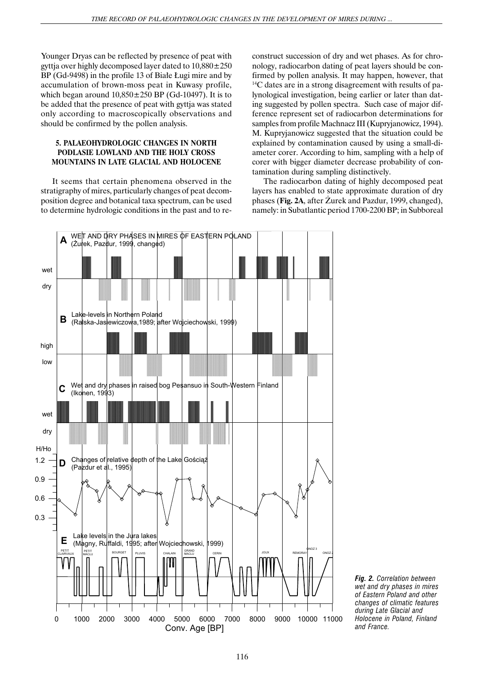Younger Dryas can be reflected by presence of peat with gyttja over highly decomposed layer dated to  $10,880 \pm 250$ BP (Gd-9498) in the profile 13 of Białe Ługi mire and by accumulation of brown-moss peat in Kuwasy profile, which began around  $10,850\pm250$  BP (Gd-10497). It is to be added that the presence of peat with gyttja was stated only according to macroscopically observations and should be confirmed by the pollen analysis.

# **5. PALAEOHYDROLOGIC CHANGES IN NORTH PODLASIE LOWLAND AND THE HOLY CROSS MOUNTAINS IN LATE GLACIAL AND HOLOCENE**

It seems that certain phenomena observed in the stratigraphy of mires, particularly changes of peat decomposition degree and botanical taxa spectrum, can be used to determine hydrologic conditions in the past and to reconstruct succession of dry and wet phases. As for chronology, radiocarbon dating of peat layers should be confirmed by pollen analysis. It may happen, however, that <sup>14</sup>C dates are in a strong disagreement with results of palynological investigation, being earlier or later than dating suggested by pollen spectra. Such case of major difference represent set of radiocarbon determinations for samples from profile Machnacz III (Kupryjanowicz, 1994). M. Kupryjanowicz suggested that the situation could be explained by contamination caused by using a small-diameter corer. According to him, sampling with a help of corer with bigger diameter decrease probability of contamination during sampling distinctively.

The radiocarbon dating of highly decomposed peat layers has enabled to state approximate duration of dry phases (Fig. 2A, after Zurek and Pazdur, 1999, changed), namely: in Subatlantic period 1700-2200 BP; in Subboreal



*Fig. 2. Correlation between wet and dry phases in mires of Eastern Poland and other changes of climatic features during Late Glacial and Holocene in Poland, Finland and France.*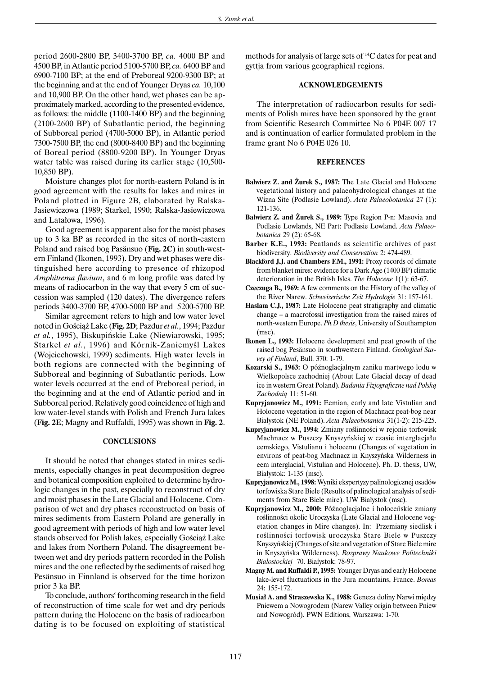period 2600-2800 BP, 3400-3700 BP, *ca.* 4000 BP and 4500 BP, in Atlantic period 5100-5700 BP, *ca.* 6400 BP and 6900-7100 BP; at the end of Preboreal 9200-9300 BP; at the beginning and at the end of Younger Dryas *ca.* 10,100 and 10,900 BP. On the other hand, wet phases can be approximately marked, according to the presented evidence, as follows: the middle (1100-1400 BP) and the beginning (2100-2600 BP) of Subatlantic period, the beginning of Subboreal period (4700-5000 BP), in Atlantic period 7300-7500 BP, the end (8000-8400 BP) and the beginning of Boreal period (8800-9200 BP). In Younger Dryas water table was raised during its earlier stage (10,500- 10,850 BP).

Moisture changes plot for north-eastern Poland is in good agreement with the results for lakes and mires in Poland plotted in Figure 2B, elaborated by Ralska-Jasiewiczowa (1989; Starkel, 1990; Ralska-Jasiewiczowa and Latalowa, 1996).

Good agreement is apparent also for the moist phases up to 3 ka BP as recorded in the sites of north-eastern Poland and raised bog Pasänsuo (**Fig. 2C**) in south-western Finland (Ikonen, 1993). Dry and wet phases were distinguished here according to presence of rhizopod *Amphitrema flavium*, and 6 m long profile was dated by means of radiocarbon in the way that every 5 cm of succession was sampled (120 dates). The divergence refers periods 3400-3700 BP, 4700-5000 BP and 5200-5700 BP.

Similar agreement refers to high and low water level noted in Goœci¹¿ Lake (**Fig. 2D**; Pazdur *et al.*, 1994; Pazdur *et al.*, 1995), Biskupiñskie Lake (Niewiarowski, 1995; Starkel et al., 1996) and Kórnik-Zaniemyśl Lakes (Wojciechowski, 1999) sediments. High water levels in both regions are connected with the beginning of Subboreal and beginning of Subatlantic periods. Low water levels occurred at the end of Preboreal period, in the beginning and at the end of Atlantic period and in Subboreal period. Relatively good coincidence of high and low water-level stands with Polish and French Jura lakes (**Fig. 2E**; Magny and Ruffaldi, 1995) was shown in **Fig. 2**.

#### **CONCLUSIONS**

It should be noted that changes stated in mires sediments, especially changes in peat decomposition degree and botanical composition exploited to determine hydrologic changes in the past, especially to reconstruct of dry and moist phases in the Late Glacial and Holocene. Comparison of wet and dry phases reconstructed on basis of mires sediments from Eastern Poland are generally in good agreement with periods of high and low water level stands observed for Polish lakes, especially Gościąż Lake and lakes from Northern Poland. The disagreement between wet and dry periods pattern recorded in the Polish mires and the one reflected by the sediments of raised bog Pesänsuo in Finnland is observed for the time horizon prior 3 ka BP.

To conclude, authors' forthcoming research in the field of reconstruction of time scale for wet and dry periods pattern during the Holocene on the basis of radiocarbon dating is to be focused on exploiting of statistical methods for analysis of large sets of 14C dates for peat and gyttja from various geographical regions.

## **ACKNOWLEDGEMENTS**

The interpretation of radiocarbon results for sediments of Polish mires have been sponsored by the grant from Scientific Research Committee No 6 P04E 007 17 and is continuation of earlier formulated problem in the frame grant No 6 P04E 026 10.

## **REFERENCES**

- **Balwierz Z. and Żurek S., 1987:** The Late Glacial and Holocene vegetational history and palaeohydrological changes at the Wizna Site (Podlasie Lowland). *Acta Palaeobotanica* 27 (1): 121-136.
- **Balwierz Z. and Żurek S., 1989:** Type Region P-n: Masovia and Podlasie Lowlands, NE Part: Podlasie Lowland. *Acta Palaeobotanica* 29 (2): 65-68.
- **Barber K.E., 1993:** Peatlands as scientific archives of past biodiversity. *Biodiversity and Conservation* 2: 474-489.
- **Blackford J.J. and Chambers F.M., 1991:** Proxy records of climate from blanket mires: evidence for a Dark Age (1400 BP) climatic deterioration in the British Isles. *The Holocene* 1(1): 63-67.
- **Czeczuga B., 1969:** A few comments on the History of the valley of the River Narew. *Schweizerische Zeit Hydrologie* 31: 157-161.
- **Haslam C.J., 1987:** Late Holocene peat stratigraphy and climatic change – a macrofossil investigation from the raised mires of north-western Europe. *Ph.D thesis*, University of Southampton (msc).
- **Ikonen L., 1993:** Holocene development and peat growth of the raised bog Pesänsuo in southwestern Finland. *Geological Survey of Finland*, Bull. 370: 1-79.
- Kozarski S., 1963: O późnoglacjalnym zaniku martwego lodu w Wielkopolsce zachodniej (About Late Glacial decay of dead ice in western Great Poland). *Badania Fizjograficzne nad Polską Zachodni¹* 11: 51-60.
- **Kupryjanowicz M., 1991:** Eemian, early and late Vistulian and Holocene vegetation in the region of Machnacz peat-bog near Bia³ystok (NE Poland). *Acta Palaeobotanica* 31(1-2): 215-225.
- Kupryjanowicz M., 1994: Zmiany roślinności w rejonie torfowisk Machnacz w Puszczy Knyszyńskiej w czasie interglacjału eemskiego, Vistulianu i holocenu (Changes of vegetation in environs of peat-bog Machnacz in Knyszyñska Wilderness in eem interglacial, Vistulian and Holocene). Ph. D. thesis, UW, Białystok: 1-135 (msc).
- **Kupryjanowicz M., 1998:** Wyniki ekspertyzy palinologicznej osadów torfowiska Stare Biele (Results of palinological analysis of sediments from Stare Biele mire). UW Białystok (msc).
- Kupryjanowicz M., 2000: Późnoglacjalne i holoceńskie zmiany roślinności okolic Uroczyska (Late Glacial and Holocene vegetation changes in Mire changes). In: Przemiany siedlisk i roślinności torfowisk uroczyska Stare Biele w Puszczy Knyszyñskiej (Changes of site and vegetation of Stare Biele mire in Knyszyñska Wilderness). *Rozprawy Naukowe Politechniki Bia³ostockiej* 70. Bia³ystok: 78-97.
- **Magny M. and Ruffaldi P., 1995:** Younger Dryas and early Holocene lake-level fluctuations in the Jura mountains, France. *Boreas* 24: 155-172.
- Musiał A. and Straszewska K., 1988: Geneza doliny Narwi między Pniewem a Nowogrodem (Narew Valley origin between Pniew and Nowogród). PWN Editions, Warszawa: 1-70.